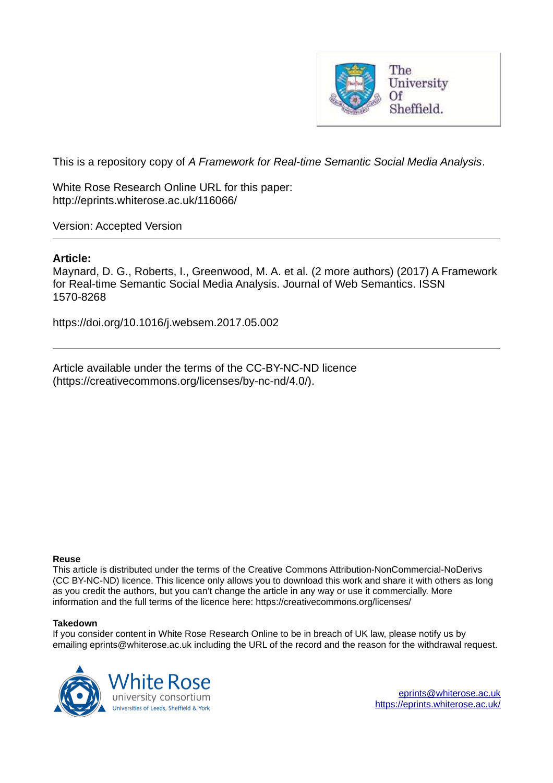

This is a repository copy of *A Framework for Real-time Semantic Social Media Analysis*.

White Rose Research Online URL for this paper: http://eprints.whiterose.ac.uk/116066/

Version: Accepted Version

# **Article:**

Maynard, D. G., Roberts, I., Greenwood, M. A. et al. (2 more authors) (2017) A Framework for Real-time Semantic Social Media Analysis. Journal of Web Semantics. ISSN 1570-8268

https://doi.org/10.1016/j.websem.2017.05.002

Article available under the terms of the CC-BY-NC-ND licence (https://creativecommons.org/licenses/by-nc-nd/4.0/).

## **Reuse**

This article is distributed under the terms of the Creative Commons Attribution-NonCommercial-NoDerivs (CC BY-NC-ND) licence. This licence only allows you to download this work and share it with others as long as you credit the authors, but you can't change the article in any way or use it commercially. More information and the full terms of the licence here: https://creativecommons.org/licenses/

# **Takedown**

If you consider content in White Rose Research Online to be in breach of UK law, please notify us by emailing eprints@whiterose.ac.uk including the URL of the record and the reason for the withdrawal request.

<span id="page-0-0"></span>

<span id="page-0-1"></span>[eprints@whiterose.ac.uk](mailto:eprints@whiterose.ac.uk) <https://eprints.whiterose.ac.uk/>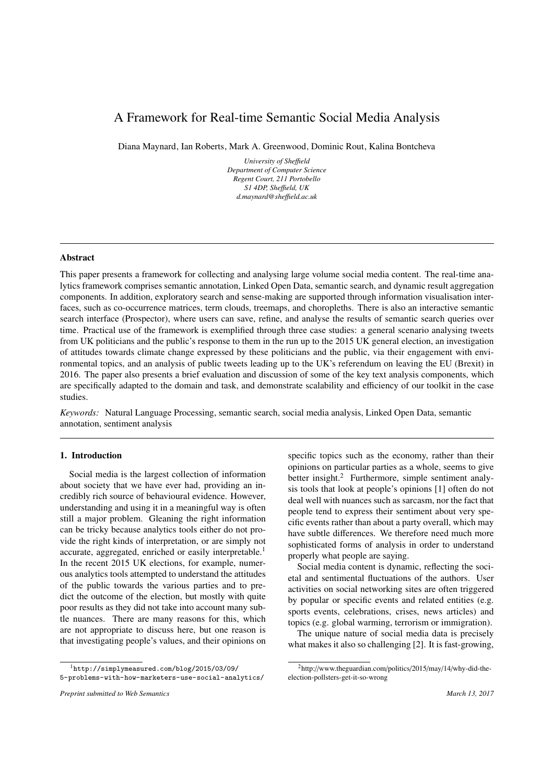# A Framework for Real-time Semantic Social Media Analysis

Diana Maynard, Ian Roberts, Mark A. Greenwood, Dominic Rout, Kalina Bontcheva

*University of She*ffi*eld Department of Computer Science Regent Court, 211 Portobello S1 4DP, She*ffi*eld, UK d.maynard@she*ffi*eld.ac.uk*

### Abstract

This paper presents a framework for collecting and analysing large volume social media content. The real-time analytics framework comprises semantic annotation, Linked Open Data, semantic search, and dynamic result aggregation components. In addition, exploratory search and sense-making are supported through information visualisation interfaces, such as co-occurrence matrices, term clouds, treemaps, and choropleths. There is also an interactive semantic search interface (Prospector), where users can save, refine, and analyse the results of semantic search queries over time. Practical use of the framework is exemplified through three case studies: a general scenario analysing tweets from UK politicians and the public's response to them in the run up to the 2015 UK general election, an investigation of attitudes towards climate change expressed by these politicians and the public, via their engagement with environmental topics, and an analysis of public tweets leading up to the UK's referendum on leaving the EU (Brexit) in 2016. The paper also presents a brief evaluation and discussion of some of the key text analysis components, which are specifically adapted to the domain and task, and demonstrate scalability and efficiency of our toolkit in the case studies.

*Keywords:* Natural Language Processing, semantic search, social media analysis, Linked Open Data, semantic annotation, sentiment analysis

#### 1. Introduction

Social media is the largest collection of information about society that we have ever had, providing an incredibly rich source of behavioural evidence. However, understanding and using it in a meaningful way is often still a major problem. Gleaning the right information can be tricky because analytics tools either do not provide the right kinds of interpretation, or are simply not accurate, aggregated, enriched or easily interpretable.<sup>[1](#page-0-0)</sup> In the recent 2015 UK elections, for example, numerous analytics tools attempted to understand the attitudes of the public towards the various parties and to predict the outcome of the election, but mostly with quite poor results as they did not take into account many subtle nuances. There are many reasons for this, which are not appropriate to discuss here, but one reason is that investigating people's values, and their opinions on

specific topics such as the economy, rather than their opinions on particular parties as a whole, seems to give better insight.<sup>[2](#page-0-1)</sup> Furthermore, simple sentiment analysis tools that look at people's opinions [\[1\]](#page-16-0) often do not deal well with nuances such as sarcasm, nor the fact that people tend to express their sentiment about very specific events rather than about a party overall, which may have subtle differences. We therefore need much more sophisticated forms of analysis in order to understand properly what people are saying.

Social media content is dynamic, reflecting the societal and sentimental fluctuations of the authors. User activities on social networking sites are often triggered by popular or specific events and related entities (e.g. sports events, celebrations, crises, news articles) and topics (e.g. global warming, terrorism or immigration).

The unique nature of social media data is precisely what makes it also so challenging [\[2\]](#page-16-1). It is fast-growing,

<span id="page-1-0"></span><sup>1</sup>[http://simplymeasured.com/blog/2015/03/09/](http://simplymeasured.com/blog/2015/03/09/5-problems-with-how-marketers-use-social-analytics/) [5-problems-with-how-marketers-use-social-analytics/](http://simplymeasured.com/blog/2015/03/09/5-problems-with-how-marketers-use-social-analytics/)

<sup>2</sup>http://www.theguardian.com/politics/2015/may/14/why-did-theelection-pollsters-get-it-so-wrong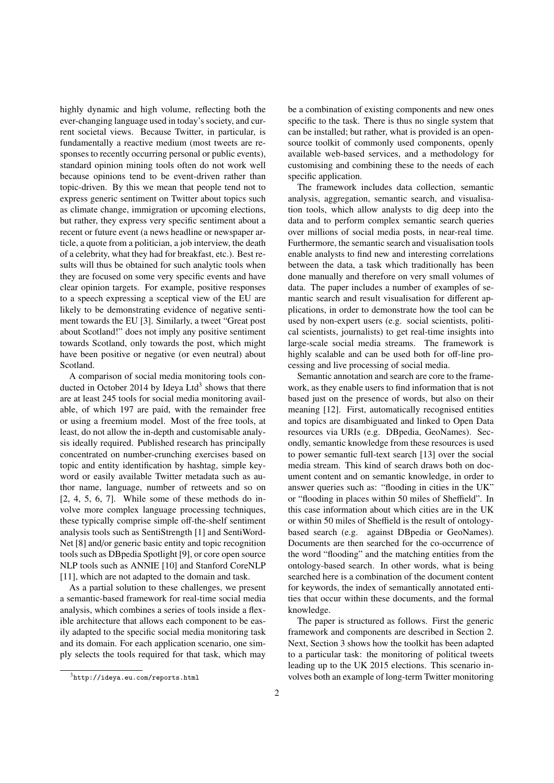highly dynamic and high volume, reflecting both the ever-changing language used in today's society, and current societal views. Because Twitter, in particular, is fundamentally a reactive medium (most tweets are responses to recently occurring personal or public events), standard opinion mining tools often do not work well because opinions tend to be event-driven rather than topic-driven. By this we mean that people tend not to express generic sentiment on Twitter about topics such as climate change, immigration or upcoming elections, but rather, they express very specific sentiment about a recent or future event (a news headline or newspaper article, a quote from a politician, a job interview, the death of a celebrity, what they had for breakfast, etc.). Best results will thus be obtained for such analytic tools when they are focused on some very specific events and have clear opinion targets. For example, positive responses to a speech expressing a sceptical view of the EU are likely to be demonstrating evidence of negative sentiment towards the EU [\[3\]](#page-16-2). Similarly, a tweet "Great post about Scotland!" does not imply any positive sentiment towards Scotland, only towards the post, which might have been positive or negative (or even neutral) about Scotland.

<span id="page-2-0"></span>A comparison of social media monitoring tools con-ducted in October 2014 by Ideya Ltd<sup>[3](#page-1-0)</sup> shows that there are at least 245 tools for social media monitoring available, of which 197 are paid, with the remainder free or using a freemium model. Most of the free tools, at least, do not allow the in-depth and customisable analysis ideally required. Published research has principally concentrated on number-crunching exercises based on topic and entity identification by hashtag, simple keyword or easily available Twitter metadata such as author name, language, number of retweets and so on  $[2, 4, 5, 6, 7]$  $[2, 4, 5, 6, 7]$  $[2, 4, 5, 6, 7]$  $[2, 4, 5, 6, 7]$  $[2, 4, 5, 6, 7]$ . While some of these methods do involve more complex language processing techniques, these typically comprise simple off-the-shelf sentiment analysis tools such as SentiStrength [\[1\]](#page-16-0) and SentiWord-Net [\[8\]](#page-16-7) and/or generic basic entity and topic recognition tools such as DBpedia Spotlight [\[9\]](#page-16-8), or core open source NLP tools such as ANNIE [\[10\]](#page-16-9) and Stanford CoreNLP [\[11\]](#page-16-10), which are not adapted to the domain and task.

As a partial solution to these challenges, we present a semantic-based framework for real-time social media analysis, which combines a series of tools inside a flexible architecture that allows each component to be easily adapted to the specific social media monitoring task and its domain. For each application scenario, one simply selects the tools required for that task, which may

<span id="page-2-1"></span><sup>3</sup><http://ideya.eu.com/reports.html>

be a combination of existing components and new ones specific to the task. There is thus no single system that can be installed; but rather, what is provided is an opensource toolkit of commonly used components, openly available web-based services, and a methodology for customising and combining these to the needs of each specific application.

The framework includes data collection, semantic analysis, aggregation, semantic search, and visualisation tools, which allow analysts to dig deep into the data and to perform complex semantic search queries over millions of social media posts, in near-real time. Furthermore, the semantic search and visualisation tools enable analysts to find new and interesting correlations between the data, a task which traditionally has been done manually and therefore on very small volumes of data. The paper includes a number of examples of semantic search and result visualisation for different applications, in order to demonstrate how the tool can be used by non-expert users (e.g. social scientists, political scientists, journalists) to get real-time insights into large-scale social media streams. The framework is highly scalable and can be used both for off-line processing and live processing of social media.

Semantic annotation and search are core to the framework, as they enable users to find information that is not based just on the presence of words, but also on their meaning [\[12\]](#page-16-11). First, automatically recognised entities and topics are disambiguated and linked to Open Data resources via URIs (e.g. DBpedia, GeoNames). Secondly, semantic knowledge from these resources is used to power semantic full-text search [\[13\]](#page-16-12) over the social media stream. This kind of search draws both on document content and on semantic knowledge, in order to answer queries such as: "flooding in cities in the UK" or "flooding in places within 50 miles of Sheffield". In this case information about which cities are in the UK or within 50 miles of Sheffield is the result of ontologybased search (e.g. against DBpedia or GeoNames). Documents are then searched for the co-occurrence of the word "flooding" and the matching entities from the ontology-based search. In other words, what is being searched here is a combination of the document content for keywords, the index of semantically annotated entities that occur within these documents, and the formal knowledge.

<span id="page-2-2"></span>The paper is structured as follows. First the generic framework and components are described in Section [2.](#page-2-0) Next, Section [3](#page-5-0) shows how the toolkit has been adapted to a particular task: the monitoring of political tweets leading up to the UK 2015 elections. This scenario involves both an example of long-term Twitter monitoring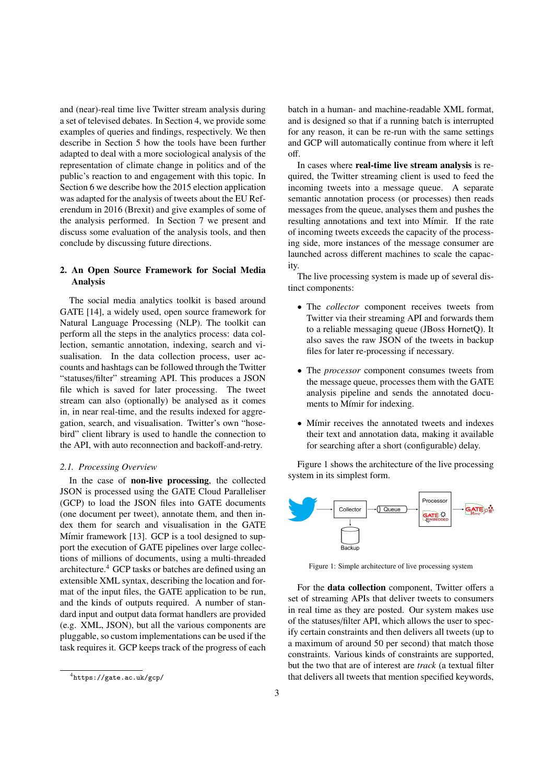and (near)-real time live Twitter stream analysis during a set of televised debates. In Section [4,](#page-7-0) we provide some examples of queries and findings, respectively. We then describe in Section [5](#page-9-0) how the tools have been further adapted to deal with a more sociological analysis of the representation of climate change in politics and of the public's reaction to and engagement with this topic. In Section [6](#page-10-0) we describe how the 2015 election application was adapted for the analysis of tweets about the EU Referendum in 2016 (Brexit) and give examples of some of the analysis performed. In Section [7](#page-12-0) we present and discuss some evaluation of the analysis tools, and then conclude by discussing future directions.

## 2. An Open Source Framework for Social Media Analysis

The social media analytics toolkit is based around GATE [\[14\]](#page-16-13), a widely used, open source framework for Natural Language Processing (NLP). The toolkit can perform all the steps in the analytics process: data collection, semantic annotation, indexing, search and visualisation. In the data collection process, user accounts and hashtags can be followed through the Twitter "statuses/filter" streaming API. This produces a JSON file which is saved for later processing. The tweet stream can also (optionally) be analysed as it comes in, in near real-time, and the results indexed for aggregation, search, and visualisation. Twitter's own "hosebird" client library is used to handle the connection to the API, with auto reconnection and backoff-and-retry.

### *2.1. Processing Overview*

In the case of non-live processing, the collected JSON is processed using the GATE Cloud Paralleliser (GCP) to load the JSON files into GATE documents (one document per tweet), annotate them, and then index them for search and visualisation in the GATE Mímir framework [\[13\]](#page-16-12). GCP is a tool designed to support the execution of GATE pipelines over large collections of millions of documents, using a multi-threaded architecture.[4](#page-2-1) GCP tasks or batches are defined using an extensible XML syntax, describing the location and format of the input files, the GATE application to be run, and the kinds of outputs required. A number of standard input and output data format handlers are provided (e.g. XML, JSON), but all the various components are pluggable, so custom implementations can be used if the task requires it. GCP keeps track of the progress of each

batch in a human- and machine-readable XML format, and is designed so that if a running batch is interrupted for any reason, it can be re-run with the same settings and GCP will automatically continue from where it left off.

In cases where real-time live stream analysis is required, the Twitter streaming client is used to feed the incoming tweets into a message queue. A separate semantic annotation process (or processes) then reads messages from the queue, analyses them and pushes the resulting annotations and text into Mímir. If the rate of incoming tweets exceeds the capacity of the processing side, more instances of the message consumer are launched across different machines to scale the capacity.

The live processing system is made up of several distinct components:

- The *collector* component receives tweets from Twitter via their streaming API and forwards them to a reliable messaging queue (JBoss HornetQ). It also saves the raw JSON of the tweets in backup files for later re-processing if necessary.
- The *processor* component consumes tweets from the message queue, processes them with the GATE analysis pipeline and sends the annotated documents to Mímir for indexing.
- Mímir receives the annotated tweets and indexes their text and annotation data, making it available for searching after a short (configurable) delay.

Figure [1](#page-2-2) shows the architecture of the live processing system in its simplest form.

<span id="page-3-3"></span>

Figure 1: Simple architecture of live processing system

For the data collection component, Twitter offers a set of streaming APIs that deliver tweets to consumers in real time as they are posted. Our system makes use of the statuses/filter API, which allows the user to specify certain constraints and then delivers all tweets (up to a maximum of around 50 per second) that match those constraints. Various kinds of constraints are supported, but the two that are of interest are *track* (a textual filter that delivers all tweets that mention specified keywords,

<span id="page-3-2"></span><span id="page-3-1"></span><span id="page-3-0"></span><sup>4</sup><https://gate.ac.uk/gcp/>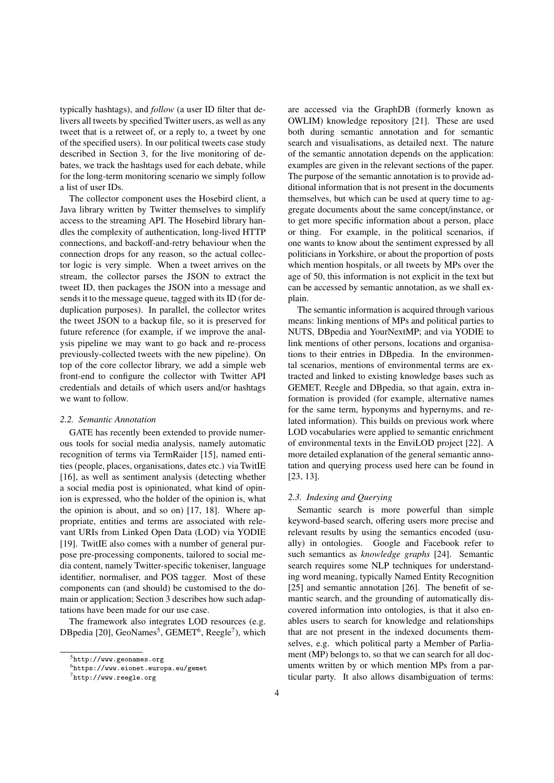typically hashtags), and *follow* (a user ID filter that delivers all tweets by specified Twitter users, as well as any tweet that is a retweet of, or a reply to, a tweet by one of the specified users). In our political tweets case study described in Section [3,](#page-5-0) for the live monitoring of debates, we track the hashtags used for each debate, while for the long-term monitoring scenario we simply follow a list of user IDs.

The collector component uses the Hosebird client, a Java library written by Twitter themselves to simplify access to the streaming API. The Hosebird library handles the complexity of authentication, long-lived HTTP connections, and backoff-and-retry behaviour when the connection drops for any reason, so the actual collector logic is very simple. When a tweet arrives on the stream, the collector parses the JSON to extract the tweet ID, then packages the JSON into a message and sends it to the message queue, tagged with its ID (for deduplication purposes). In parallel, the collector writes the tweet JSON to a backup file, so it is preserved for future reference (for example, if we improve the analysis pipeline we may want to go back and re-process previously-collected tweets with the new pipeline). On top of the core collector library, we add a simple web front-end to configure the collector with Twitter API credentials and details of which users and/or hashtags we want to follow.

#### *2.2. Semantic Annotation*

GATE has recently been extended to provide numerous tools for social media analysis, namely automatic recognition of terms via TermRaider [\[15\]](#page-16-14), named entities (people, places, organisations, dates etc.) via TwitIE [\[16\]](#page-16-15), as well as sentiment analysis (detecting whether a social media post is opinionated, what kind of opinion is expressed, who the holder of the opinion is, what the opinion is about, and so on) [\[17,](#page-16-16) [18\]](#page-17-0). Where appropriate, entities and terms are associated with relevant URIs from Linked Open Data (LOD) via YODIE [\[19\]](#page-17-1). TwitIE also comes with a number of general purpose pre-processing components, tailored to social media content, namely Twitter-specific tokeniser, language identifier, normaliser, and POS tagger. Most of these components can (and should) be customised to the domain or application; Section [3](#page-5-0) describes how such adaptations have been made for our use case.

The framework also integrates LOD resources (e.g. DBpedia [\[20\]](#page-17-2), GeoNames<sup>[5](#page-3-0)</sup>, GEMET<sup>[6](#page-3-1)</sup>, Reegle<sup>[7](#page-3-2)</sup>), which

are accessed via the GraphDB (formerly known as OWLIM) knowledge repository [\[21\]](#page-17-3). These are used both during semantic annotation and for semantic search and visualisations, as detailed next. The nature of the semantic annotation depends on the application: examples are given in the relevant sections of the paper. The purpose of the semantic annotation is to provide additional information that is not present in the documents themselves, but which can be used at query time to aggregate documents about the same concept/instance, or to get more specific information about a person, place or thing. For example, in the political scenarios, if one wants to know about the sentiment expressed by all politicians in Yorkshire, or about the proportion of posts which mention hospitals, or all tweets by MPs over the age of 50, this information is not explicit in the text but can be accessed by semantic annotation, as we shall explain.

The semantic information is acquired through various means: linking mentions of MPs and political parties to NUTS, DBpedia and YourNextMP; and via YODIE to link mentions of other persons, locations and organisations to their entries in DBpedia. In the environmental scenarios, mentions of environmental terms are extracted and linked to existing knowledge bases such as GEMET, Reegle and DBpedia, so that again, extra information is provided (for example, alternative names for the same term, hyponyms and hypernyms, and related information). This builds on previous work where LOD vocabularies were applied to semantic enrichment of environmental texts in the EnviLOD project [\[22\]](#page-17-4). A more detailed explanation of the general semantic annotation and querying process used here can be found in [\[23,](#page-17-5) [13\]](#page-16-12).

#### *2.3. Indexing and Querying*

Semantic search is more powerful than simple keyword-based search, offering users more precise and relevant results by using the semantics encoded (usually) in ontologies. Google and Facebook refer to such semantics as *knowledge graphs* [\[24\]](#page-17-6). Semantic search requires some NLP techniques for understanding word meaning, typically Named Entity Recognition [\[25\]](#page-17-7) and semantic annotation [\[26\]](#page-17-8). The benefit of semantic search, and the grounding of automatically discovered information into ontologies, is that it also enables users to search for knowledge and relationships that are not present in the indexed documents themselves, e.g. which political party a Member of Parliament (MP) belongs to, so that we can search for all documents written by or which mention MPs from a particular party. It also allows disambiguation of terms:

 ${\rm ^5}$ <http://www.geonames.org>

 $6$ <https://www.eionet.europa.eu/gemet>

<sup>7</sup><http://www.reegle.org>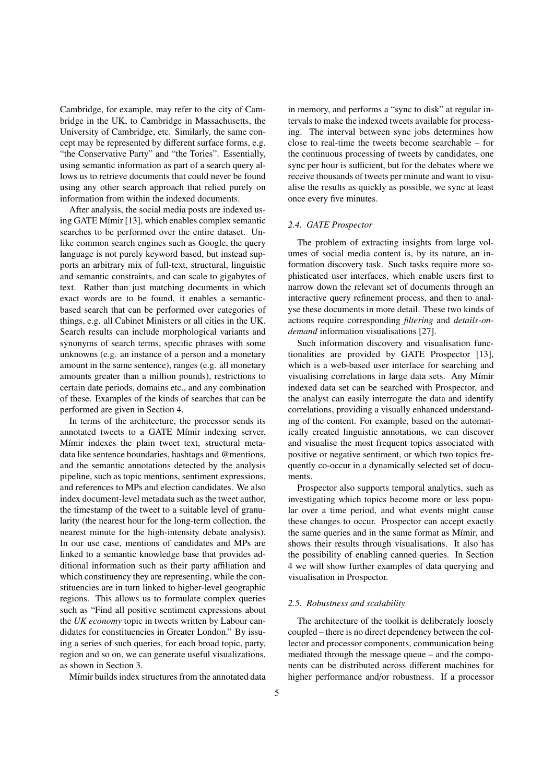Cambridge, for example, may refer to the city of Cambridge in the UK, to Cambridge in Massachusetts, the University of Cambridge, etc. Similarly, the same concept may be represented by different surface forms, e.g. "the Conservative Party" and "the Tories". Essentially, using semantic information as part of a search query allows us to retrieve documents that could never be found using any other search approach that relied purely on information from within the indexed documents.

After analysis, the social media posts are indexed us-ing GATE Mímir [\[13\]](#page-16-12), which enables complex semantic searches to be performed over the entire dataset. Unlike common search engines such as Google, the query language is not purely keyword based, but instead supports an arbitrary mix of full-text, structural, linguistic and semantic constraints, and can scale to gigabytes of text. Rather than just matching documents in which exact words are to be found, it enables a semanticbased search that can be performed over categories of things, e.g. all Cabinet Ministers or all cities in the UK. Search results can include morphological variants and synonyms of search terms, specific phrases with some unknowns (e.g. an instance of a person and a monetary amount in the same sentence), ranges (e.g. all monetary amounts greater than a million pounds), restrictions to certain date periods, domains etc., and any combination of these. Examples of the kinds of searches that can be performed are given in Section [4.](#page-7-0)

In terms of the architecture, the processor sends its annotated tweets to a GATE Mímir indexing server. Mímir indexes the plain tweet text, structural metadata like sentence boundaries, hashtags and @mentions, and the semantic annotations detected by the analysis pipeline, such as topic mentions, sentiment expressions, and references to MPs and election candidates. We also index document-level metadata such as the tweet author, the timestamp of the tweet to a suitable level of granularity (the nearest hour for the long-term collection, the nearest minute for the high-intensity debate analysis). In our use case, mentions of candidates and MPs are linked to a semantic knowledge base that provides additional information such as their party affiliation and which constituency they are representing, while the constituencies are in turn linked to higher-level geographic regions. This allows us to formulate complex queries such as "Find all positive sentiment expressions about the *UK economy* topic in tweets written by Labour candidates for constituencies in Greater London." By issuing a series of such queries, for each broad topic, party, region and so on, we can generate useful visualizations, as shown in Section [3.](#page-5-0)

<span id="page-5-1"></span>Mímir builds index structures from the annotated data

in memory, and performs a "sync to disk" at regular intervals to make the indexed tweets available for processing. The interval between sync jobs determines how close to real-time the tweets become searchable – for the continuous processing of tweets by candidates, one sync per hour is sufficient, but for the debates where we receive thousands of tweets per minute and want to visualise the results as quickly as possible, we sync at least once every five minutes.

#### <span id="page-5-0"></span>*2.4. GATE Prospector*

The problem of extracting insights from large volumes of social media content is, by its nature, an information discovery task. Such tasks require more sophisticated user interfaces, which enable users first to narrow down the relevant set of documents through an interactive query refinement process, and then to analyse these documents in more detail. These two kinds of actions require corresponding *filtering* and *details-ondemand* information visualisations [\[27\]](#page-17-9).

<span id="page-5-6"></span>Such information discovery and visualisation functionalities are provided by GATE Prospector [\[13\]](#page-16-12), which is a web-based user interface for searching and visualising correlations in large data sets. Any Mímir indexed data set can be searched with Prospector, and the analyst can easily interrogate the data and identify correlations, providing a visually enhanced understanding of the content. For example, based on the automatically created linguistic annotations, we can discover and visualise the most frequent topics associated with positive or negative sentiment, or which two topics frequently co-occur in a dynamically selected set of documents.

Prospector also supports temporal analytics, such as investigating which topics become more or less popular over a time period, and what events might cause these changes to occur. Prospector can accept exactly the same queries and in the same format as Mímir, and shows their results through visualisations. It also has the possibility of enabling canned queries. In Section [4](#page-7-0) we will show further examples of data querying and visualisation in Prospector.

#### *2.5. Robustness and scalability*

<span id="page-5-5"></span><span id="page-5-4"></span><span id="page-5-3"></span><span id="page-5-2"></span>The architecture of the toolkit is deliberately loosely coupled – there is no direct dependency between the collector and processor components, communication being mediated through the message queue – and the components can be distributed across different machines for higher performance and/or robustness. If a processor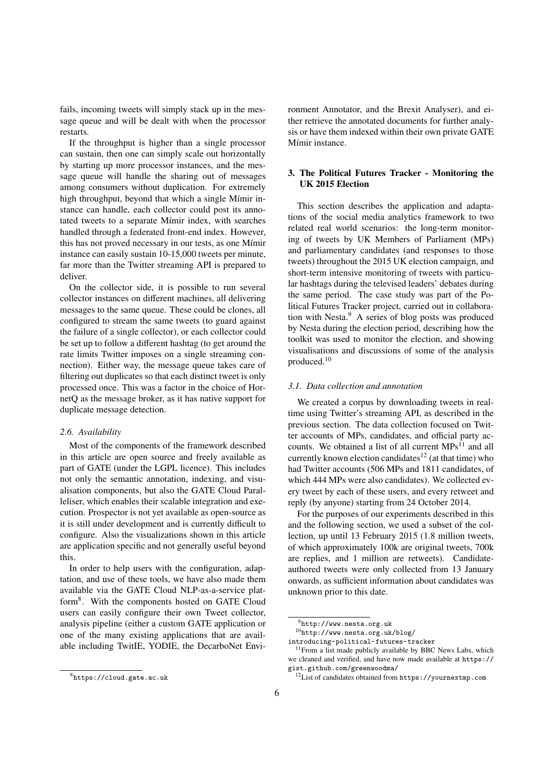fails, incoming tweets will simply stack up in the message queue and will be dealt with when the processor restarts.

If the throughput is higher than a single processor can sustain, then one can simply scale out horizontally by starting up more processor instances, and the message queue will handle the sharing out of messages among consumers without duplication. For extremely high throughput, beyond that which a single Mímir instance can handle, each collector could post its annotated tweets to a separate Mímir index, with searches handled through a federated front-end index. However, this has not proved necessary in our tests, as one Mímir instance can easily sustain 10-15,000 tweets per minute, far more than the Twitter streaming API is prepared to deliver.

On the collector side, it is possible to run several collector instances on different machines, all delivering messages to the same queue. These could be clones, all configured to stream the same tweets (to guard against the failure of a single collector), or each collector could be set up to follow a different hashtag (to get around the rate limits Twitter imposes on a single streaming connection). Either way, the message queue takes care of filtering out duplicates so that each distinct tweet is only processed once. This was a factor in the choice of HornetQ as the message broker, as it has native support for duplicate message detection.

#### *2.6. Availability*

Most of the components of the framework described in this article are open source and freely available as part of GATE (under the LGPL licence). This includes not only the semantic annotation, indexing, and visualisation components, but also the GATE Cloud Paralleliser, which enables their scalable integration and execution. Prospector is not yet available as open-source as it is still under development and is currently difficult to configure. Also the visualizations shown in this article are application specific and not generally useful beyond this.

In order to help users with the configuration, adaptation, and use of these tools, we have also made them available via the GATE Cloud NLP-as-a-service plat-form<sup>[8](#page-5-1)</sup>. With the components hosted on GATE Cloud users can easily configure their own Tweet collector, analysis pipeline (either a custom GATE application or one of the many existing applications that are available including TwitIE, YODIE, the DecarboNet Environment Annotator, and the Brexit Analyser), and either retrieve the annotated documents for further analysis or have them indexed within their own private GATE Mímir instance.

### 3. The Political Futures Tracker - Monitoring the UK 2015 Election

<span id="page-6-0"></span>This section describes the application and adaptations of the social media analytics framework to two related real world scenarios: the long-term monitoring of tweets by UK Members of Parliament (MPs) and parliamentary candidates (and responses to those tweets) throughout the 2015 UK election campaign, and short-term intensive monitoring of tweets with particular hashtags during the televised leaders' debates during the same period. The case study was part of the Political Futures Tracker project, carried out in collaboration with Nesta.[9](#page-5-2) A series of blog posts was produced by Nesta during the election period, describing how the toolkit was used to monitor the election, and showing visualisations and discussions of some of the analysis produced.[10](#page-5-3)

#### *3.1. Data collection and annotation*

We created a corpus by downloading tweets in realtime using Twitter's streaming API, as described in the previous section. The data collection focused on Twitter accounts of MPs, candidates, and official party accounts. We obtained a list of all current  $MPs^{\hat{1}\hat{1}}$  and all currently known election candidates<sup>[12](#page-5-5)</sup> (at that time) who had Twitter accounts (506 MPs and 1811 candidates, of which 444 MPs were also candidates). We collected every tweet by each of these users, and every retweet and reply (by anyone) starting from 24 October 2014.

For the purposes of our experiments described in this and the following section, we used a subset of the collection, up until 13 February 2015 (1.8 million tweets, of which approximately 100k are original tweets, 700k are replies, and 1 million are retweets). Candidateauthored tweets were only collected from 13 January onwards, as sufficient information about candidates was unknown prior to this date.

 $9$ <http://www.nesta.org.uk>

<sup>10</sup>[http://www.nesta.org.uk/blog/](http://www.nesta.org.uk/blog/introducing-political-futures-tracker)

[introducing-political-futures-tracker](http://www.nesta.org.uk/blog/introducing-political-futures-tracker)

<sup>&</sup>lt;sup>11</sup> From a list made publicly available by BBC News Labs, which we cleaned and verified, and have now made available at [https://](https://gist.github.com/greenwoodma/) [gist.github.com/greenwoodma/](https://gist.github.com/greenwoodma/)

<span id="page-6-2"></span><span id="page-6-1"></span><sup>8</sup><https://cloud.gate.ac.uk>

<sup>12</sup>List of candidates obtained from <https://yournextmp.com>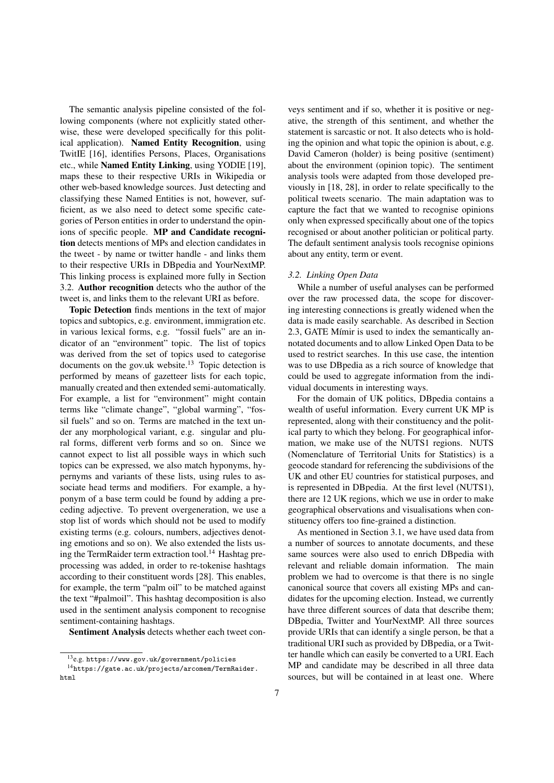The semantic analysis pipeline consisted of the following components (where not explicitly stated otherwise, these were developed specifically for this political application). Named Entity Recognition, using TwitIE [\[16\]](#page-16-15), identifies Persons, Places, Organisations etc., while Named Entity Linking, using YODIE [\[19\]](#page-17-1), maps these to their respective URIs in Wikipedia or other web-based knowledge sources. Just detecting and classifying these Named Entities is not, however, sufficient, as we also need to detect some specific categories of Person entities in order to understand the opinions of specific people. MP and Candidate recognition detects mentions of MPs and election candidates in the tweet - by name or twitter handle - and links them to their respective URIs in DBpedia and YourNextMP. This linking process is explained more fully in Section [3.2.](#page-6-0) Author recognition detects who the author of the tweet is, and links them to the relevant URI as before.

Topic Detection finds mentions in the text of major topics and subtopics, e.g. environment, immigration etc. in various lexical forms, e.g. "fossil fuels" are an indicator of an "environment" topic. The list of topics was derived from the set of topics used to categorise documents on the gov.uk website.<sup>[13](#page-6-1)</sup> Topic detection is performed by means of gazetteer lists for each topic, manually created and then extended semi-automatically. For example, a list for "environment" might contain terms like "climate change", "global warming", "fossil fuels" and so on. Terms are matched in the text under any morphological variant, e.g. singular and plural forms, different verb forms and so on. Since we cannot expect to list all possible ways in which such topics can be expressed, we also match hyponyms, hypernyms and variants of these lists, using rules to associate head terms and modifiers. For example, a hyponym of a base term could be found by adding a preceding adjective. To prevent overgeneration, we use a stop list of words which should not be used to modify existing terms (e.g. colours, numbers, adjectives denoting emotions and so on). We also extended the lists us-ing the TermRaider term extraction tool.<sup>[14](#page-6-2)</sup> Hashtag preprocessing was added, in order to re-tokenise hashtags according to their constituent words [\[28\]](#page-17-10). This enables, for example, the term "palm oil" to be matched against the text "#palmoil". This hashtag decomposition is also used in the sentiment analysis component to recognise sentiment-containing hashtags.

Sentiment Analysis detects whether each tweet con-

veys sentiment and if so, whether it is positive or negative, the strength of this sentiment, and whether the statement is sarcastic or not. It also detects who is holding the opinion and what topic the opinion is about, e.g. David Cameron (holder) is being positive (sentiment) about the environment (opinion topic). The sentiment analysis tools were adapted from those developed previously in [\[18,](#page-17-0) [28\]](#page-17-10), in order to relate specifically to the political tweets scenario. The main adaptation was to capture the fact that we wanted to recognise opinions only when expressed specifically about one of the topics recognised or about another politician or political party. The default sentiment analysis tools recognise opinions about any entity, term or event.

#### *3.2. Linking Open Data*

While a number of useful analyses can be performed over the raw processed data, the scope for discovering interesting connections is greatly widened when the data is made easily searchable. As described in Section [2.3,](#page-3-3) GATE Mímir is used to index the semantically annotated documents and to allow Linked Open Data to be used to restrict searches. In this use case, the intention was to use DBpedia as a rich source of knowledge that could be used to aggregate information from the individual documents in interesting ways.

<span id="page-7-2"></span><span id="page-7-0"></span>For the domain of UK politics, DBpedia contains a wealth of useful information. Every current UK MP is represented, along with their constituency and the political party to which they belong. For geographical information, we make use of the NUTS1 regions. NUTS (Nomenclature of Territorial Units for Statistics) is a geocode standard for referencing the subdivisions of the UK and other EU countries for statistical purposes, and is represented in DBpedia. At the first level (NUTS1), there are 12 UK regions, which we use in order to make geographical observations and visualisations when constituency offers too fine-grained a distinction.

As mentioned in Section [3.1,](#page-5-6) we have used data from a number of sources to annotate documents, and these same sources were also used to enrich DBpedia with relevant and reliable domain information. The main problem we had to overcome is that there is no single canonical source that covers all existing MPs and candidates for the upcoming election. Instead, we currently have three different sources of data that describe them; DBpedia, Twitter and YourNextMP. All three sources provide URIs that can identify a single person, be that a traditional URI such as provided by DBpedia, or a Twitter handle which can easily be converted to a URI. Each MP and candidate may be described in all three data sources, but will be contained in at least one. Where

 $^{13}$ e.g. <https://www.gov.uk/government/policies>

<span id="page-7-1"></span><sup>14</sup>[https://gate.ac.uk/projects/arcomem/TermRaider.](https://gate.ac.uk/projects/arcomem/TermRaider.html) [html](https://gate.ac.uk/projects/arcomem/TermRaider.html)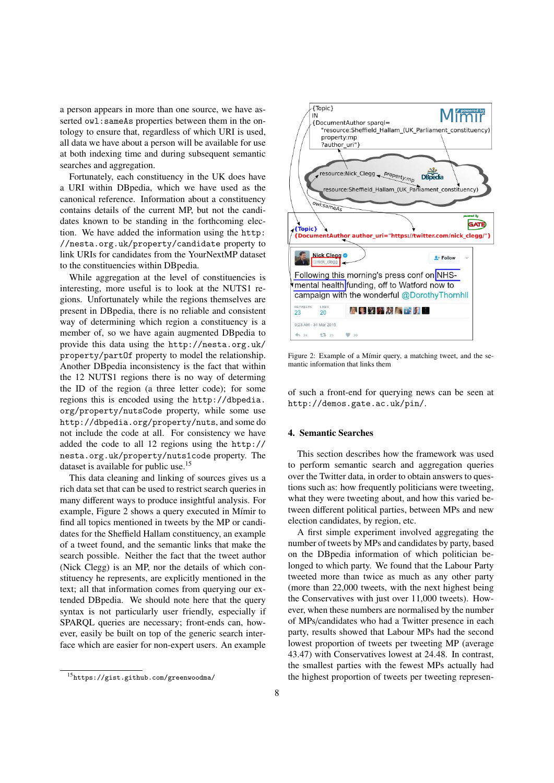a person appears in more than one source, we have asserted owl: sameAs properties between them in the ontology to ensure that, regardless of which URI is used, all data we have about a person will be available for use at both indexing time and during subsequent semantic searches and aggregation.

Fortunately, each constituency in the UK does have a URI within DBpedia, which we have used as the canonical reference. Information about a constituency contains details of the current MP, but not the candidates known to be standing in the forthcoming election. We have added the information using the [http:](http://nesta.org.uk/property/candidate) [//nesta.org.uk/property/candidate](http://nesta.org.uk/property/candidate) property to link URIs for candidates from the YourNextMP dataset to the constituencies within DBpedia.

<span id="page-8-0"></span>While aggregation at the level of constituencies is interesting, more useful is to look at the NUTS1 regions. Unfortunately while the regions themselves are present in DBpedia, there is no reliable and consistent way of determining which region a constituency is a member of, so we have again augmented DBpedia to provide this data using the [http://nesta.org.uk/](http://nesta.org.uk/property/partOf) [property/partOf](http://nesta.org.uk/property/partOf) property to model the relationship. Another DBpedia inconsistency is the fact that within the 12 NUTS1 regions there is no way of determing the ID of the region (a three letter code); for some regions this is encoded using the [http://dbpedia.](http://dbpedia.org/property/nutsCode) [org/property/nutsCode](http://dbpedia.org/property/nutsCode) property, while some use <http://dbpedia.org/property/nuts>, and some do not include the code at all. For consistency we have added the code to all 12 regions using the [http://](http://nesta.org.uk/property/nuts1code) [nesta.org.uk/property/nuts1code](http://nesta.org.uk/property/nuts1code) property. The dataset is available for public use.<sup>[15](#page-7-1)</sup>

This data cleaning and linking of sources gives us a rich data set that can be used to restrict search queries in many different ways to produce insightful analysis. For example, Figure [2](#page-7-2) shows a query executed in Mímir to find all topics mentioned in tweets by the MP or candidates for the Sheffield Hallam constituency, an example of a tweet found, and the semantic links that make the search possible. Neither the fact that the tweet author (Nick Clegg) is an MP, nor the details of which constituency he represents, are explicitly mentioned in the text; all that information comes from querying our extended DBpedia. We should note here that the query syntax is not particularly user friendly, especially if SPARQL queries are necessary; front-ends can, however, easily be built on top of the generic search interface which are easier for non-expert users. An example



Figure 2: Example of a Mímir query, a matching tweet, and the semantic information that links them

of such a front-end for querying news can be seen at <http://demos.gate.ac.uk/pin/>.

#### 4. Semantic Searches

This section describes how the framework was used to perform semantic search and aggregation queries over the Twitter data, in order to obtain answers to questions such as: how frequently politicians were tweeting, what they were tweeting about, and how this varied between different political parties, between MPs and new election candidates, by region, etc.

<span id="page-8-3"></span><span id="page-8-2"></span><span id="page-8-1"></span>A first simple experiment involved aggregating the number of tweets by MPs and candidates by party, based on the DBpedia information of which politician belonged to which party. We found that the Labour Party tweeted more than twice as much as any other party (more than 22,000 tweets, with the next highest being the Conservatives with just over 11,000 tweets). However, when these numbers are normalised by the number of MPs/candidates who had a Twitter presence in each party, results showed that Labour MPs had the second lowest proportion of tweets per tweeting MP (average 43.47) with Conservatives lowest at 24.48. In contrast, the smallest parties with the fewest MPs actually had the highest proportion of tweets per tweeting represen-

<sup>15</sup><https://gist.github.com/greenwoodma/>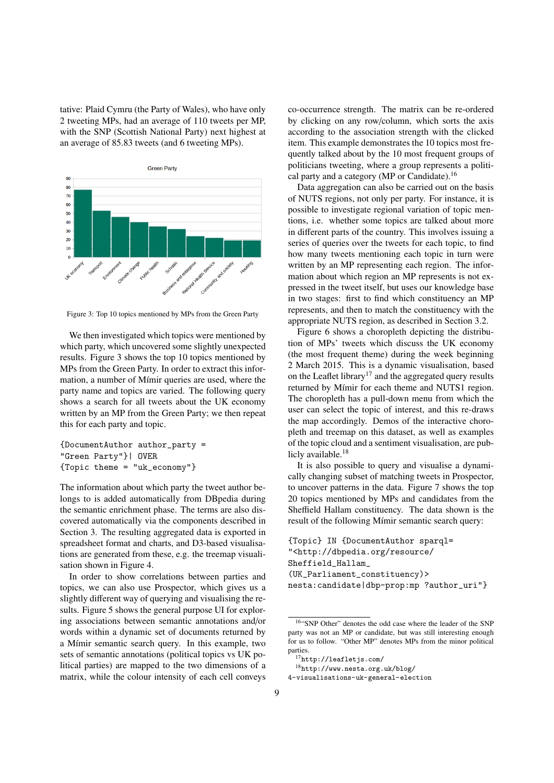tative: Plaid Cymru (the Party of Wales), who have only 2 tweeting MPs, had an average of 110 tweets per MP, with the SNP (Scottish National Party) next highest at an average of 85.83 tweets (and 6 tweeting MPs).



Figure 3: Top 10 topics mentioned by MPs from the Green Party

<span id="page-9-1"></span>We then investigated which topics were mentioned by which party, which uncovered some slightly unexpected results. Figure [3](#page-8-0) shows the top 10 topics mentioned by MPs from the Green Party. In order to extract this information, a number of Mímir queries are used, where the party name and topics are varied. The following query shows a search for all tweets about the UK economy written by an MP from the Green Party; we then repeat this for each party and topic.

```
{DocumentAuthor author_party =
"Green Party"}| OVER
{Topic theme = "uk_economy"}
```
The information about which party the tweet author belongs to is added automatically from DBpedia during the semantic enrichment phase. The terms are also discovered automatically via the components described in Section [3.](#page-5-0) The resulting aggregated data is exported in spreadsheet format and charts, and D3-based visualisations are generated from these, e.g. the treemap visualisation shown in Figure [4.](#page-9-1)

<span id="page-9-2"></span>In order to show correlations between parties and topics, we can also use Prospector, which gives us a slightly different way of querying and visualising the results. Figure [5](#page-9-2) shows the general purpose UI for exploring associations between semantic annotations and/or words within a dynamic set of documents returned by a Mímir semantic search query. In this example, two sets of semantic annotations (political topics vs UK political parties) are mapped to the two dimensions of a matrix, while the colour intensity of each cell conveys

co-occurrence strength. The matrix can be re-ordered by clicking on any row/column, which sorts the axis according to the association strength with the clicked item. This example demonstrates the 10 topics most frequently talked about by the 10 most frequent groups of politicians tweeting, where a group represents a political party and a category (MP or Candidate).[16](#page-8-1)

Data aggregation can also be carried out on the basis of NUTS regions, not only per party. For instance, it is possible to investigate regional variation of topic mentions, i.e. whether some topics are talked about more in different parts of the country. This involves issuing a series of queries over the tweets for each topic, to find how many tweets mentioning each topic in turn were written by an MP representing each region. The information about which region an MP represents is not expressed in the tweet itself, but uses our knowledge base in two stages: first to find which constituency an MP represents, and then to match the constituency with the appropriate NUTS region, as described in Section [3.2.](#page-6-0)

Figure [6](#page-10-1) shows a choropleth depicting the distribution of MPs' tweets which discuss the UK economy (the most frequent theme) during the week beginning 2 March 2015. This is a dynamic visualisation, based on the Leaflet library<sup>[17](#page-8-2)</sup> and the aggregated query results returned by Mímir for each theme and NUTS1 region. The choropleth has a pull-down menu from which the user can select the topic of interest, and this re-draws the map accordingly. Demos of the interactive choropleth and treemap on this dataset, as well as examples of the topic cloud and a sentiment visualisation, are pub-licly available.<sup>[18](#page-8-3)</sup>

It is also possible to query and visualise a dynamically changing subset of matching tweets in Prospector, to uncover patterns in the data. Figure [7](#page-11-0) shows the top 20 topics mentioned by MPs and candidates from the Sheffield Hallam constituency. The data shown is the result of the following Mímir semantic search query:

{Topic} IN {DocumentAuthor sparql= "<http://dbpedia.org/resource/ Sheffield\_Hallam\_ (UK\_Parliament\_constituency)> nesta:candidate|dbp-prop:mp ?author\_uri"}

<sup>18</sup>[http://www.nesta.org.uk/blog/](http://www.nesta.org.uk/blog/4-visualisations-uk-general-election) [4-visualisations-uk-general-election](http://www.nesta.org.uk/blog/4-visualisations-uk-general-election)

<span id="page-9-0"></span><sup>16</sup>"SNP Other" denotes the odd case where the leader of the SNP party was not an MP or candidate, but was still interesting enough for us to follow. "Other MP" denotes MPs from the minor political parties.

<sup>17</sup><http://leafletjs.com/>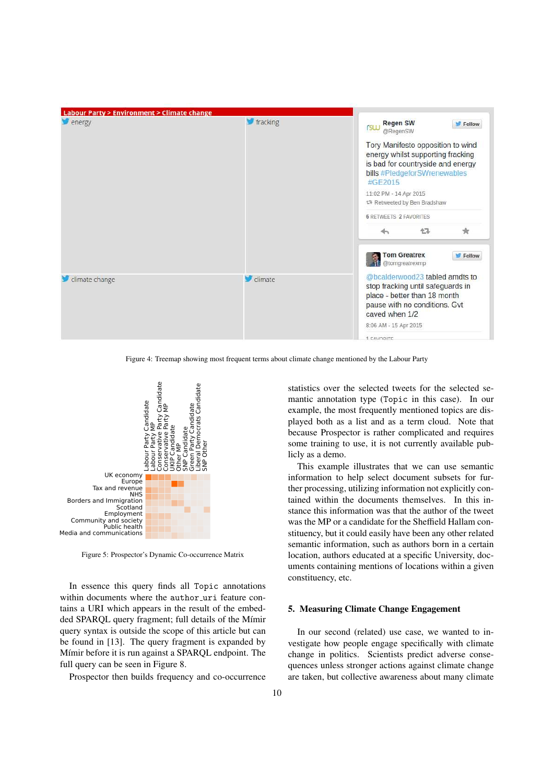

Figure 4: Treemap showing most frequent terms about climate change mentioned by the Labour Party

<span id="page-10-1"></span>

Figure 5: Prospector's Dynamic Co-occurrence Matrix

In essence this query finds all Topic annotations within documents where the author\_uri feature contains a URI which appears in the result of the embedded SPARQL query fragment; full details of the Mímir query syntax is outside the scope of this article but can be found in [\[13\]](#page-16-12). The query fragment is expanded by Mímir before it is run against a SPARQL endpoint. The full query can be seen in Figure [8.](#page-11-1)

<span id="page-10-2"></span>Prospector then builds frequency and co-occurrence

statistics over the selected tweets for the selected semantic annotation type (Topic in this case). In our example, the most frequently mentioned topics are displayed both as a list and as a term cloud. Note that because Prospector is rather complicated and requires some training to use, it is not currently available publicly as a demo.

This example illustrates that we can use semantic information to help select document subsets for further processing, utilizing information not explicitly contained within the documents themselves. In this instance this information was that the author of the tweet was the MP or a candidate for the Sheffield Hallam constituency, but it could easily have been any other related semantic information, such as authors born in a certain location, authors educated at a specific University, documents containing mentions of locations within a given constituency, etc.

#### 5. Measuring Climate Change Engagement

<span id="page-10-0"></span>In our second (related) use case, we wanted to investigate how people engage specifically with climate change in politics. Scientists predict adverse consequences unless stronger actions against climate change are taken, but collective awareness about many climate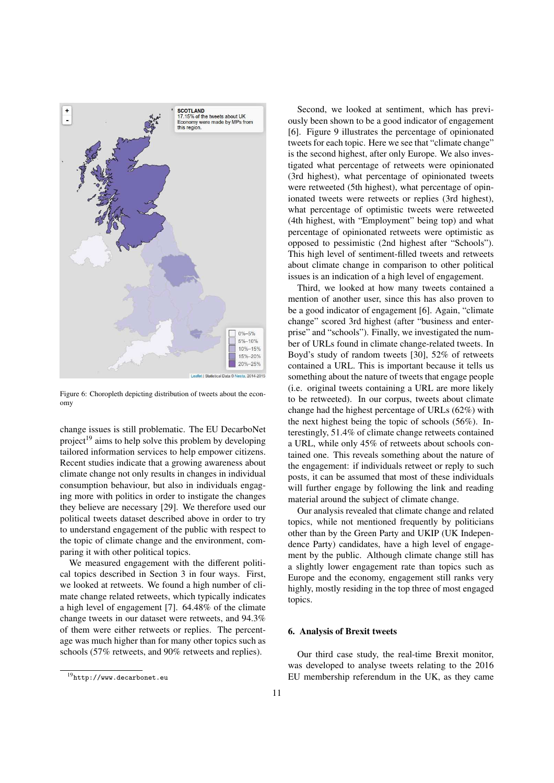

<span id="page-11-1"></span><span id="page-11-0"></span>Figure 6: Choropleth depicting distribution of tweets about the economy

change issues is still problematic. The EU DecarboNet project<sup>[19](#page-10-2)</sup> aims to help solve this problem by developing tailored information services to help empower citizens. Recent studies indicate that a growing awareness about climate change not only results in changes in individual consumption behaviour, but also in individuals engaging more with politics in order to instigate the changes they believe are necessary [\[29\]](#page-17-11). We therefore used our political tweets dataset described above in order to try to understand engagement of the public with respect to the topic of climate change and the environment, comparing it with other political topics.

We measured engagement with the different political topics described in Section [3](#page-5-0) in four ways. First, we looked at retweets. We found a high number of climate change related retweets, which typically indicates a high level of engagement [\[7\]](#page-16-6). 64.48% of the climate change tweets in our dataset were retweets, and 94.3% of them were either retweets or replies. The percentage was much higher than for many other topics such as schools (57% retweets, and 90% retweets and replies).

Second, we looked at sentiment, which has previously been shown to be a good indicator of engagement [\[6\]](#page-16-5). Figure [9](#page-12-1) illustrates the percentage of opinionated tweets for each topic. Here we see that "climate change" is the second highest, after only Europe. We also investigated what percentage of retweets were opinionated (3rd highest), what percentage of opinionated tweets were retweeted (5th highest), what percentage of opinionated tweets were retweets or replies (3rd highest), what percentage of optimistic tweets were retweeted (4th highest, with "Employment" being top) and what percentage of opinionated retweets were optimistic as opposed to pessimistic (2nd highest after "Schools"). This high level of sentiment-filled tweets and retweets about climate change in comparison to other political issues is an indication of a high level of engagement.

Third, we looked at how many tweets contained a mention of another user, since this has also proven to be a good indicator of engagement [\[6\]](#page-16-5). Again, "climate change" scored 3rd highest (after "business and enterprise" and "schools"). Finally, we investigated the number of URLs found in climate change-related tweets. In Boyd's study of random tweets [\[30\]](#page-17-12), 52% of retweets contained a URL. This is important because it tells us something about the nature of tweets that engage people (i.e. original tweets containing a URL are more likely to be retweeted). In our corpus, tweets about climate change had the highest percentage of URLs (62%) with the next highest being the topic of schools (56%). Interestingly, 51.4% of climate change retweets contained a URL, while only 45% of retweets about schools contained one. This reveals something about the nature of the engagement: if individuals retweet or reply to such posts, it can be assumed that most of these individuals will further engage by following the link and reading material around the subject of climate change.

Our analysis revealed that climate change and related topics, while not mentioned frequently by politicians other than by the Green Party and UKIP (UK Independence Party) candidates, have a high level of engagement by the public. Although climate change still has a slightly lower engagement rate than topics such as Europe and the economy, engagement still ranks very highly, mostly residing in the top three of most engaged topics.

#### <span id="page-11-2"></span>6. Analysis of Brexit tweets

Our third case study, the real-time Brexit monitor, was developed to analyse tweets relating to the 2016 EU membership referendum in the UK, as they came

 $^{19}{\rm http://www.decarbonet.eu}$  $^{19}{\rm http://www.decarbonet.eu}$  $^{19}{\rm http://www.decarbonet.eu}$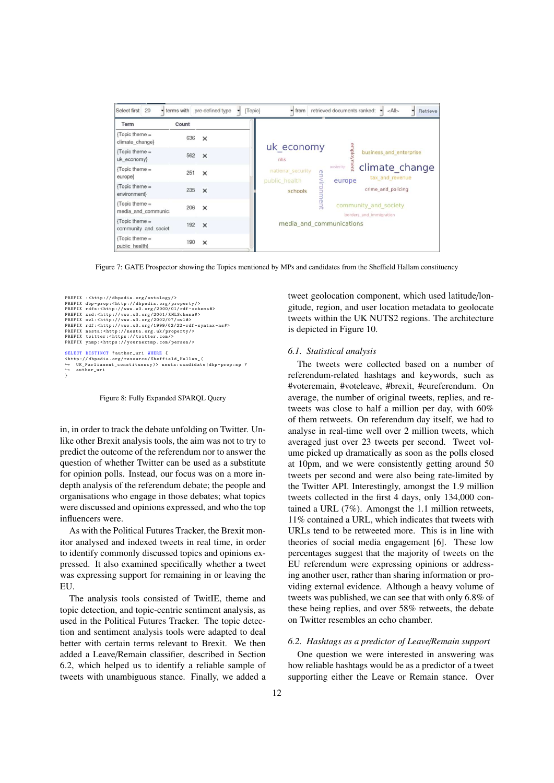| Select first<br>20                        | terms with | pre-defined type | {Topic}<br>retrieved documents ranked:<br>$<$ All $>$<br>from<br>Retrieve                                          |
|-------------------------------------------|------------|------------------|--------------------------------------------------------------------------------------------------------------------|
| Term                                      | Count      |                  |                                                                                                                    |
| {Topic theme $=$<br>climate change}       | 636        | $\times$         |                                                                                                                    |
| {Topic theme $=$<br>uk economy}           | 562        | $\times$         | employ<br>uk economy<br>business and enterprise<br>nhs                                                             |
| $\{Topic \, theme =$<br>europe}           | 251        | ×                | nent<br>climate_change<br>austerity<br>national security<br>$\sigma$<br>tax and revenue<br>public health<br>europe |
| {Topic theme $=$<br>environment}          | 235        | $\times$         | ŽΕ<br>crime and policing<br>schools                                                                                |
| ${Topic theme} =$<br>media and communic   | 206        | $\times$         | lent<br>community and society<br>borders and immigration                                                           |
| $\{Topic theme =$<br>community and societ | 192        | $\times$         | media and communications                                                                                           |
| {Topic theme $=$<br>public health}        | 190        | $\times$         |                                                                                                                    |

Figure 7: GATE Prospector showing the Topics mentioned by MPs and candidates from the Sheffield Hallam constituency

<span id="page-12-2"></span>Figure 8: Fully Expanded SPARQL Query

in, in order to track the debate unfolding on Twitter. Unlike other Brexit analysis tools, the aim was not to try to predict the outcome of the referendum nor to answer the question of whether Twitter can be used as a substitute for opinion polls. Instead, our focus was on a more indepth analysis of the referendum debate; the people and organisations who engage in those debates; what topics were discussed and opinions expressed, and who the top influencers were.

As with the Political Futures Tracker, the Brexit monitor analysed and indexed tweets in real time, in order to identify commonly discussed topics and opinions expressed. It also examined specifically whether a tweet was expressing support for remaining in or leaving the EU.

<span id="page-12-3"></span>The analysis tools consisted of TwitIE, theme and topic detection, and topic-centric sentiment analysis, as used in the Political Futures Tracker. The topic detection and sentiment analysis tools were adapted to deal better with certain terms relevant to Brexit. We then added a Leave/Remain classifier, described in Section [6.2,](#page-11-2) which helped us to identify a reliable sample of tweets with unambiguous stance. Finally, we added a

<span id="page-12-1"></span>tweet geolocation component, which used latitude/longitude, region, and user location metadata to geolocate tweets within the UK NUTS2 regions. The architecture is depicted in Figure [10.](#page-12-2)

#### *6.1. Statistical analysis*

The tweets were collected based on a number of referendum-related hashtags and keywords, such as #voteremain, #voteleave, #brexit, #eureferendum. On average, the number of original tweets, replies, and retweets was close to half a million per day, with 60% of them retweets. On referendum day itself, we had to analyse in real-time well over 2 million tweets, which averaged just over 23 tweets per second. Tweet volume picked up dramatically as soon as the polls closed at 10pm, and we were consistently getting around 50 tweets per second and were also being rate-limited by the Twitter API. Interestingly, amongst the 1.9 million tweets collected in the first 4 days, only 134,000 contained a URL (7%). Amongst the 1.1 million retweets, 11% contained a URL, which indicates that tweets with URLs tend to be retweeted more. This is in line with theories of social media engagement [\[6\]](#page-16-5). These low percentages suggest that the majority of tweets on the EU referendum were expressing opinions or addressing another user, rather than sharing information or providing external evidence. Although a heavy volume of tweets was published, we can see that with only 6.8% of these being replies, and over 58% retweets, the debate on Twitter resembles an echo chamber.

#### <span id="page-12-0"></span>*6.2. Hashtags as a predictor of Leave*/*Remain support*

One question we were interested in answering was how reliable hashtags would be as a predictor of a tweet supporting either the Leave or Remain stance. Over

PREFIX :<http://dbpedia.org/ontology/><br>PREFIX dbp-prop:\http://dbpedia.org/ontology/><br>PREFIX dfs:\http://www.w3.org/2000/01/rdf-schema#><br>PREFIX rdfs:\http://www.w3.org/2001/XMLSchema#><br>PREFIX rdf:\http://www.w3.org/2001/07 SELECT DISTINCT ? author\_uri WHERE { <http://dbpedia.org/resource/Sheffield\_Hallam\_ (<br>→ UK\_Parliament\_constituency)> nesta:candidate |dbp-prop:mp ? author\_uri }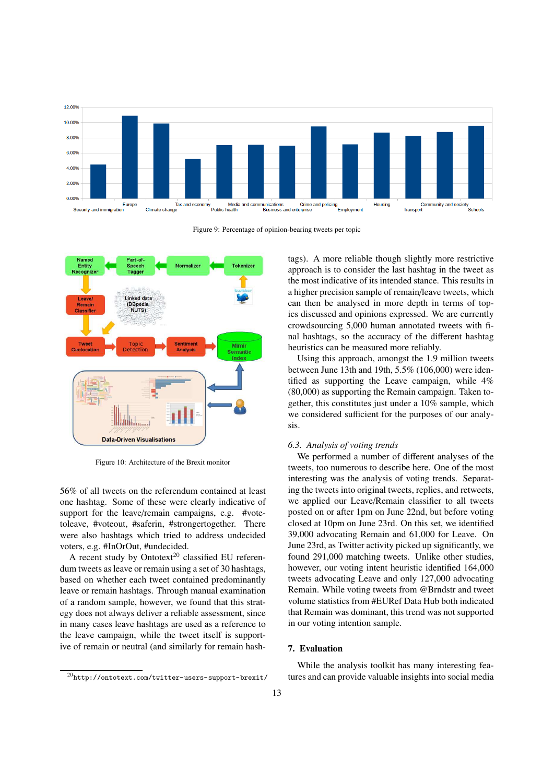

Figure 9: Percentage of opinion-bearing tweets per topic



Figure 10: Architecture of the Brexit monitor

56% of all tweets on the referendum contained at least one hashtag. Some of these were clearly indicative of support for the leave/remain campaigns, e.g. #votetoleave, #voteout, #saferin, #strongertogether. There were also hashtags which tried to address undecided voters, e.g. #InOrOut, #undecided.

A recent study by Ontotext<sup>[20](#page-12-3)</sup> classified EU referendum tweets as leave or remain using a set of 30 hashtags, based on whether each tweet contained predominantly leave or remain hashtags. Through manual examination of a random sample, however, we found that this strategy does not always deliver a reliable assessment, since in many cases leave hashtags are used as a reference to the leave campaign, while the tweet itself is supportive of remain or neutral (and similarly for remain hash-

<span id="page-13-0"></span> $^{20}\mathrm{http://ontotext.com/twitter-user-support-brexit/}$ 

<span id="page-13-2"></span>tags). A more reliable though slightly more restrictive approach is to consider the last hashtag in the tweet as the most indicative of its intended stance. This results in a higher precision sample of remain/leave tweets, which can then be analysed in more depth in terms of topics discussed and opinions expressed. We are currently crowdsourcing 5,000 human annotated tweets with final hashtags, so the accuracy of the different hashtag heuristics can be measured more reliably.

Using this approach, amongst the 1.9 million tweets between June 13th and 19th, 5.5% (106,000) were identified as supporting the Leave campaign, while 4% (80,000) as supporting the Remain campaign. Taken together, this constitutes just under a 10% sample, which we considered sufficient for the purposes of our analysis.

#### *6.3. Analysis of voting trends*

We performed a number of different analyses of the tweets, too numerous to describe here. One of the most interesting was the analysis of voting trends. Separating the tweets into original tweets, replies, and retweets, we applied our Leave/Remain classifier to all tweets posted on or after 1pm on June 22nd, but before voting closed at 10pm on June 23rd. On this set, we identified 39,000 advocating Remain and 61,000 for Leave. On June 23rd, as Twitter activity picked up significantly, we found 291,000 matching tweets. Unlike other studies, however, our voting intent heuristic identified 164,000 tweets advocating Leave and only 127,000 advocating Remain. While voting tweets from @Brndstr and tweet volume statistics from #EURef Data Hub both indicated that Remain was dominant, this trend was not supported in our voting intention sample.

#### 7. Evaluation

<span id="page-13-1"></span>While the analysis toolkit has many interesting features and can provide valuable insights into social media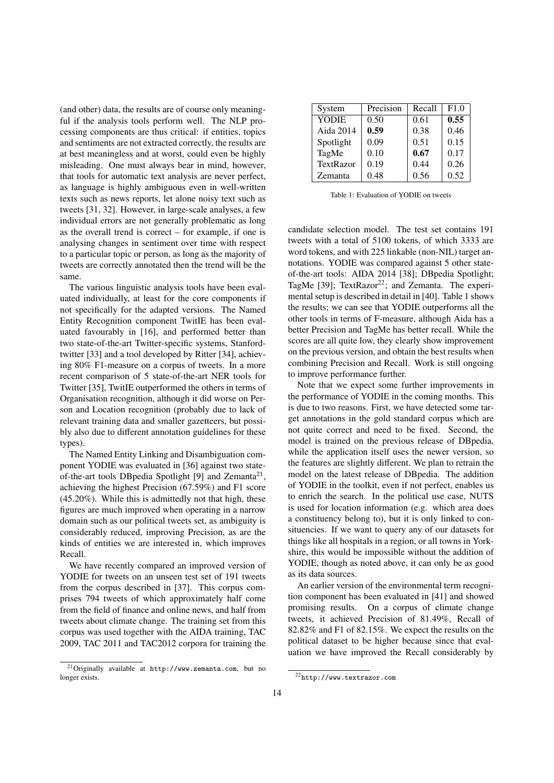(and other) data, the results are of course only meaningful if the analysis tools perform well. The NLP processing components are thus critical: if entities, topics and sentiments are not extracted correctly, the results are at best meaningless and at worst, could even be highly misleading. One must always bear in mind, however, that tools for automatic text analysis are never perfect, as language is highly ambiguous even in well-written texts such as news reports, let alone noisy text such as tweets [\[31,](#page-17-13) [32\]](#page-17-14). However, in large-scale analyses, a few individual errors are not generally problematic as long as the overall trend is correct – for example, if one is analysing changes in sentiment over time with respect to a particular topic or person, as long as the majority of tweets are correctly annotated then the trend will be the same.

The various linguistic analysis tools have been evaluated individually, at least for the core components if not specifically for the adapted versions. The Named Entity Recognition component TwitIE has been evaluated favourably in [\[16\]](#page-16-15), and performed better than two state-of-the-art Twitter-specific systems, Stanfordtwitter [\[33\]](#page-17-15) and a tool developed by Ritter [\[34\]](#page-17-16), achieving 80% F1-measure on a corpus of tweets. In a more recent comparison of 5 state-of-the-art NER tools for Twitter [\[35\]](#page-17-17), TwitIE outperformed the others in terms of Organisation recognition, although it did worse on Person and Location recognition (probably due to lack of relevant training data and smaller gazetteers, but possibly also due to different annotation guidelines for these types).

The Named Entity Linking and Disambiguation component YODIE was evaluated in [\[36\]](#page-17-18) against two state-of-the-art tools DBpedia Spotlight [\[9\]](#page-16-8) and Zemanta<sup>[21](#page-13-0)</sup>, achieving the highest Precision (67.59%) and F1 score (45.20%). While this is admittedly not that high, these figures are much improved when operating in a narrow domain such as our political tweets set, as ambiguity is considerably reduced, improving Precision, as are the kinds of entities we are interested in, which improves Recall.

We have recently compared an improved version of YODIE for tweets on an unseen test set of 191 tweets from the corpus described in [\[37\]](#page-17-19). This corpus comprises 794 tweets of which approximately half come from the field of finance and online news, and half from tweets about climate change. The training set from this corpus was used together with the AIDA training, TAC 2009, TAC 2011 and TAC2012 corpora for training the

| System       | Precision | Recall | F1.0 |
|--------------|-----------|--------|------|
| <b>YODIE</b> | 0.50      | 0.61   | 0.55 |
| Aida 2014    | 0.59      | 0.38   | 0.46 |
| Spotlight    | 0.09      | 0.51   | 0.15 |
| TagMe        | 0.10      | 0.67   | 0.17 |
| TextRazor    | 0.19      | 0.44   | 0.26 |
| Zemanta      | 0.48      | 0.56   | 0.52 |

Table 1: Evaluation of YODIE on tweets

candidate selection model. The test set contains 191 tweets with a total of 5100 tokens, of which 3333 are word tokens, and with 225 linkable (non-NIL) target annotations. YODIE was compared against 5 other stateof-the-art tools: AIDA 2014 [\[38\]](#page-17-20); DBpedia Spotlight; TagMe [\[39\]](#page-17-21); TextRazor<sup>[22](#page-13-1)</sup>; and Zemanta. The experimental setup is described in detail in [\[40\]](#page-17-22). Table [1](#page-13-2) shows the results; we can see that YODIE outperforms all the other tools in terms of F-measure, although Aida has a better Precision and TagMe has better recall. While the scores are all quite low, they clearly show improvement on the previous version, and obtain the best results when combining Precision and Recall. Work is still ongoing to improve performance further.

Note that we expect some further improvements in the performance of YODIE in the coming months. This is due to two reasons. First, we have detected some target annotations in the gold standard corpus which are not quite correct and need to be fixed. Second, the model is trained on the previous release of DBpedia, while the application itself uses the newer version, so the features are slightly different. We plan to retrain the model on the latest release of DBpedia. The addition of YODIE in the toolkit, even if not perfect, enables us to enrich the search. In the political use case, NUTS is used for location information (e.g. which area does a constituency belong to), but it is only linked to consituencies. If we want to query any of our datasets for things like all hospitals in a region, or all towns in Yorkshire, this would be impossible without the addition of YODIE, though as noted above, it can only be as good as its data sources.

An earlier version of the environmental term recognition component has been evaluated in [\[41\]](#page-17-23) and showed promising results. On a corpus of climate change tweets, it achieved Precision of 81.49%, Recall of 82.82% and F1 of 82.15%. We expect the results on the political dataset to be higher because since that evaluation we have improved the Recall considerably by

<sup>21</sup>Originally available at <http://www.zemanta.com>, but no longer exists.

<sup>22</sup><http://www.textrazor.com>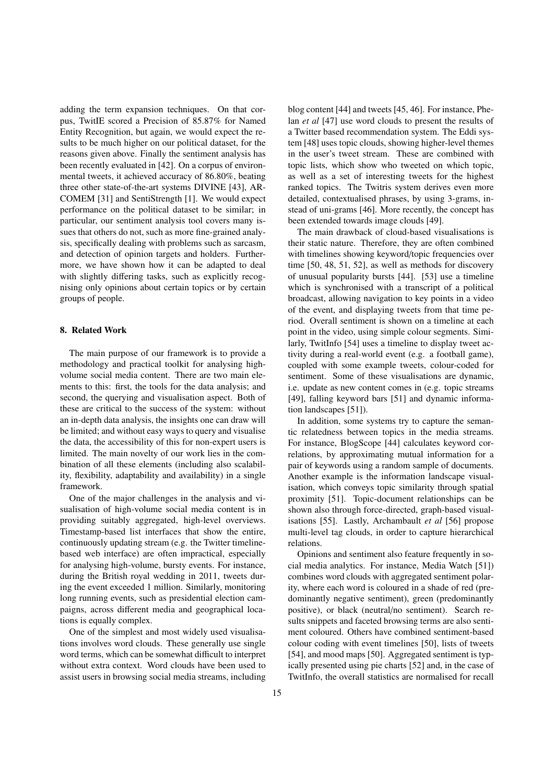adding the term expansion techniques. On that corpus, TwitIE scored a Precision of 85.87% for Named Entity Recognition, but again, we would expect the results to be much higher on our political dataset, for the reasons given above. Finally the sentiment analysis has been recently evaluated in [\[42\]](#page-17-24). On a corpus of environmental tweets, it achieved accuracy of 86.80%, beating three other state-of-the-art systems DIVINE [\[43\]](#page-17-25), AR-COMEM [\[31\]](#page-17-13) and SentiStrength [\[1\]](#page-16-0). We would expect performance on the political dataset to be similar; in particular, our sentiment analysis tool covers many issues that others do not, such as more fine-grained analysis, specifically dealing with problems such as sarcasm, and detection of opinion targets and holders. Furthermore, we have shown how it can be adapted to deal with slightly differing tasks, such as explicitly recognising only opinions about certain topics or by certain groups of people.

## 8. Related Work

The main purpose of our framework is to provide a methodology and practical toolkit for analysing highvolume social media content. There are two main elements to this: first, the tools for the data analysis; and second, the querying and visualisation aspect. Both of these are critical to the success of the system: without an in-depth data analysis, the insights one can draw will be limited; and without easy ways to query and visualise the data, the accessibility of this for non-expert users is limited. The main novelty of our work lies in the combination of all these elements (including also scalability, flexibility, adaptability and availability) in a single framework.

One of the major challenges in the analysis and visualisation of high-volume social media content is in providing suitably aggregated, high-level overviews. Timestamp-based list interfaces that show the entire, continuously updating stream (e.g. the Twitter timelinebased web interface) are often impractical, especially for analysing high-volume, bursty events. For instance, during the British royal wedding in 2011, tweets during the event exceeded 1 million. Similarly, monitoring long running events, such as presidential election campaigns, across different media and geographical locations is equally complex.

One of the simplest and most widely used visualisations involves word clouds. These generally use single word terms, which can be somewhat difficult to interpret without extra context. Word clouds have been used to assist users in browsing social media streams, including blog content [\[44\]](#page-17-26) and tweets [\[45,](#page-17-27) [46\]](#page-17-28). For instance, Phelan *et al* [\[47\]](#page-17-29) use word clouds to present the results of a Twitter based recommendation system. The Eddi system [\[48\]](#page-17-30) uses topic clouds, showing higher-level themes in the user's tweet stream. These are combined with topic lists, which show who tweeted on which topic, as well as a set of interesting tweets for the highest ranked topics. The Twitris system derives even more detailed, contextualised phrases, by using 3-grams, instead of uni-grams [\[46\]](#page-17-28). More recently, the concept has been extended towards image clouds [\[49\]](#page-17-31).

The main drawback of cloud-based visualisations is their static nature. Therefore, they are often combined with timelines showing keyword/topic frequencies over time [\[50,](#page-17-32) [48,](#page-17-30) [51,](#page-17-33) [52\]](#page-18-0), as well as methods for discovery of unusual popularity bursts [\[44\]](#page-17-26). [\[53\]](#page-18-1) use a timeline which is synchronised with a transcript of a political broadcast, allowing navigation to key points in a video of the event, and displaying tweets from that time period. Overall sentiment is shown on a timeline at each point in the video, using simple colour segments. Similarly, TwitInfo [\[54\]](#page-18-2) uses a timeline to display tweet activity during a real-world event (e.g. a football game), coupled with some example tweets, colour-coded for sentiment. Some of these visualisations are dynamic, i.e. update as new content comes in (e.g. topic streams [\[49\]](#page-17-31), falling keyword bars [\[51\]](#page-17-33) and dynamic information landscapes [\[51\]](#page-17-33)).

In addition, some systems try to capture the semantic relatedness between topics in the media streams. For instance, BlogScope [\[44\]](#page-17-26) calculates keyword correlations, by approximating mutual information for a pair of keywords using a random sample of documents. Another example is the information landscape visualisation, which conveys topic similarity through spatial proximity [\[51\]](#page-17-33). Topic-document relationships can be shown also through force-directed, graph-based visualisations [\[55\]](#page-18-3). Lastly, Archambault *et al* [\[56\]](#page-18-4) propose multi-level tag clouds, in order to capture hierarchical relations.

Opinions and sentiment also feature frequently in social media analytics. For instance, Media Watch [\[51\]](#page-17-33)) combines word clouds with aggregated sentiment polarity, where each word is coloured in a shade of red (predominantly negative sentiment), green (predominantly positive), or black (neutral/no sentiment). Search results snippets and faceted browsing terms are also sentiment coloured. Others have combined sentiment-based colour coding with event timelines [\[50\]](#page-17-32), lists of tweets [\[54\]](#page-18-2), and mood maps [\[50\]](#page-17-32). Aggregated sentiment is typically presented using pie charts [\[52\]](#page-18-0) and, in the case of TwitInfo, the overall statistics are normalised for recall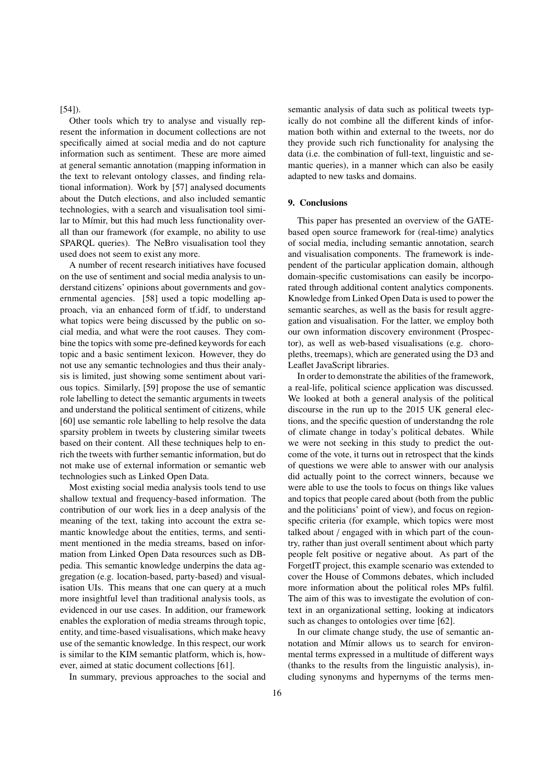[\[54\]](#page-18-2)).

Other tools which try to analyse and visually represent the information in document collections are not specifically aimed at social media and do not capture information such as sentiment. These are more aimed at general semantic annotation (mapping information in the text to relevant ontology classes, and finding relational information). Work by [\[57\]](#page-18-5) analysed documents about the Dutch elections, and also included semantic technologies, with a search and visualisation tool similar to Mímir, but this had much less functionality overall than our framework (for example, no ability to use SPARQL queries). The NeBro visualisation tool they used does not seem to exist any more.

A number of recent research initiatives have focused on the use of sentiment and social media analysis to understand citizens' opinions about governments and governmental agencies. [\[58\]](#page-18-6) used a topic modelling approach, via an enhanced form of tf.idf, to understand what topics were being discussed by the public on social media, and what were the root causes. They combine the topics with some pre-defined keywords for each topic and a basic sentiment lexicon. However, they do not use any semantic technologies and thus their analysis is limited, just showing some sentiment about various topics. Similarly, [\[59\]](#page-18-7) propose the use of semantic role labelling to detect the semantic arguments in tweets and understand the political sentiment of citizens, while [\[60\]](#page-18-8) use semantic role labelling to help resolve the data sparsity problem in tweets by clustering similar tweets based on their content. All these techniques help to enrich the tweets with further semantic information, but do not make use of external information or semantic web technologies such as Linked Open Data.

Most existing social media analysis tools tend to use shallow textual and frequency-based information. The contribution of our work lies in a deep analysis of the meaning of the text, taking into account the extra semantic knowledge about the entities, terms, and sentiment mentioned in the media streams, based on information from Linked Open Data resources such as DBpedia. This semantic knowledge underpins the data aggregation (e.g. location-based, party-based) and visualisation UIs. This means that one can query at a much more insightful level than traditional analysis tools, as evidenced in our use cases. In addition, our framework enables the exploration of media streams through topic, entity, and time-based visualisations, which make heavy use of the semantic knowledge. In this respect, our work is similar to the KIM semantic platform, which is, however, aimed at static document collections [\[61\]](#page-18-9).

<span id="page-16-0"></span>In summary, previous approaches to the social and

<span id="page-16-2"></span><span id="page-16-1"></span>semantic analysis of data such as political tweets typically do not combine all the different kinds of information both within and external to the tweets, nor do they provide such rich functionality for analysing the data (i.e. the combination of full-text, linguistic and semantic queries), in a manner which can also be easily adapted to new tasks and domains.

#### <span id="page-16-4"></span><span id="page-16-3"></span>9. Conclusions

<span id="page-16-7"></span><span id="page-16-6"></span><span id="page-16-5"></span>This paper has presented an overview of the GATEbased open source framework for (real-time) analytics of social media, including semantic annotation, search and visualisation components. The framework is independent of the particular application domain, although domain-specific customisations can easily be incorporated through additional content analytics components. Knowledge from Linked Open Data is used to power the semantic searches, as well as the basis for result aggregation and visualisation. For the latter, we employ both our own information discovery environment (Prospector), as well as web-based visualisations (e.g. choropleths, treemaps), which are generated using the D3 and Leaflet JavaScript libraries.

<span id="page-16-12"></span><span id="page-16-11"></span><span id="page-16-10"></span><span id="page-16-9"></span><span id="page-16-8"></span>In order to demonstrate the abilities of the framework, a real-life, political science application was discussed. We looked at both a general analysis of the political discourse in the run up to the 2015 UK general elections, and the specific question of understandng the role of climate change in today's political debates. While we were not seeking in this study to predict the outcome of the vote, it turns out in retrospect that the kinds of questions we were able to answer with our analysis did actually point to the correct winners, because we were able to use the tools to focus on things like values and topics that people cared about (both from the public and the politicians' point of view), and focus on regionspecific criteria (for example, which topics were most talked about / engaged with in which part of the country, rather than just overall sentiment about which party people felt positive or negative about. As part of the ForgetIT project, this example scenario was extended to cover the House of Commons debates, which included more information about the political roles MPs fulfil. The aim of this was to investigate the evolution of context in an organizational setting, looking at indicators such as changes to ontologies over time [\[62\]](#page-18-10).

<span id="page-16-16"></span><span id="page-16-15"></span><span id="page-16-14"></span><span id="page-16-13"></span>In our climate change study, the use of semantic annotation and Mímir allows us to search for environmental terms expressed in a multitude of different ways (thanks to the results from the linguistic analysis), including synonyms and hypernyms of the terms men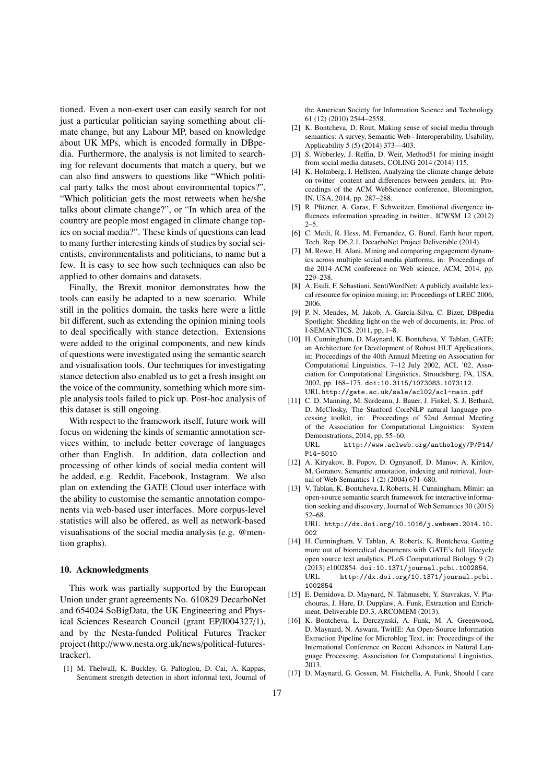<span id="page-17-1"></span><span id="page-17-0"></span>tioned. Even a non-exert user can easily search for not just a particular politician saying something about climate change, but any Labour MP, based on knowledge about UK MPs, which is encoded formally in DBpedia. Furthermore, the analysis is not limited to searching for relevant documents that match a query, but we can also find answers to questions like "Which political party talks the most about environmental topics?", "Which politician gets the most retweets when he/she talks about climate change?", or "In which area of the country are people most engaged in climate change topics on social media?". These kinds of questions can lead to many further interesting kinds of studies by social scientists, environmentalists and politicians, to name but a few. It is easy to see how such techniques can also be applied to other domains and datasets.

<span id="page-17-6"></span><span id="page-17-5"></span><span id="page-17-4"></span><span id="page-17-3"></span><span id="page-17-2"></span>Finally, the Brexit monitor demonstrates how the tools can easily be adapted to a new scenario. While still in the politics domain, the tasks here were a little bit different, such as extending the opinion mining tools to deal specifically with stance detection. Extensions were added to the original components, and new kinds of questions were investigated using the semantic search and visualisation tools. Our techniques for investigating stance detection also enabled us to get a fresh insight on the voice of the community, something which more simple analysis tools failed to pick up. Post-hoc analysis of this dataset is still ongoing.

<span id="page-17-11"></span><span id="page-17-10"></span><span id="page-17-9"></span><span id="page-17-8"></span><span id="page-17-7"></span>With respect to the framework itself, future work will focus on widening the kinds of semantic annotation services within, to include better coverage of languages other than English. In addition, data collection and processing of other kinds of social media content will be added, e.g. Reddit, Facebook, Instagram. We also plan on extending the GATE Cloud user interface with the ability to customise the semantic annotation components via web-based user interfaces. More corpus-level statistics will also be offered, as well as network-based visualisations of the social media analysis (e.g. @mention graphs).

#### <span id="page-17-13"></span><span id="page-17-12"></span>10. Acknowledgments

<span id="page-17-15"></span><span id="page-17-14"></span>This work was partially supported by the European Union under grant agreements No. 610829 DecarboNet and 654024 SoBigData, the UK Engineering and Physical Sciences Research Council (grant EP/I004327/1), and by the Nesta-funded Political Futures Tracker project (http://www.nesta.org.uk/news/political-futurestracker).

<span id="page-17-16"></span>[1] M. Thelwall, K. Buckley, G. Paltoglou, D. Cai, A. Kappas, Sentiment strength detection in short informal text, Journal of the American Society for Information Science and Technology 61 (12) (2010) 2544–2558.

- <span id="page-17-17"></span>[2] K. Bontcheva, D. Rout, Making sense of social media through semantics: A survey, Semantic Web - Interoperability, Usability, Applicability 5 (5) (2014) 373—403.
- <span id="page-17-18"></span>[3] S. Wibberley, J. Reffin, D. Weir, Method51 for mining insight from social media datasets, COLING 2014 (2014) 115.
- [4] K. Holmberg, I. Hellsten, Analyzing the climate change debate on twitter content and differences between genders, in: Proceedings of the ACM WebScience conference, Bloomington, IN, USA, 2014, pp. 287–288.
- <span id="page-17-19"></span>[5] R. Pfitzner, A. Garas, F. Schweitzer, Emotional divergence influences information spreading in twitter., ICWSM 12 (2012)  $2 - 5.$
- <span id="page-17-20"></span>[6] C. Meili, R. Hess, M. Fernandez, G. Burel, Earth hour report, Tech. Rep. D6.2.1, DecarboNet Project Deliverable (2014).
- <span id="page-17-21"></span>[7] M. Rowe, H. Alani, Mining and comparing engagement dynamics across multiple social media platforms, in: Proceedings of the 2014 ACM conference on Web science, ACM, 2014, pp. 229–238.
- [8] A. Esuli, F. Sebastiani, SentiWordNet: A publicly available lexical resource for opinion mining, in: Proceedings of LREC 2006, 2006.
- <span id="page-17-22"></span>[9] P. N. Mendes, M. Jakob, A. García-Silva, C. Bizer, DBpedia Spotlight: Shedding light on the web of documents, in: Proc. of I-SEMANTICS, 2011, pp. 1–8.
- <span id="page-17-23"></span>[10] H. Cunningham, D. Maynard, K. Bontcheva, V. Tablan, [GATE:](http://gate.ac.uk/sale/acl02/acl-main.pdf) [an Architecture for Development of Robust HLT Applications,](http://gate.ac.uk/sale/acl02/acl-main.pdf) in: Proceedings of the 40th Annual Meeting on Association for Computational Linguistics, 7–12 July 2002, ACL '02, Association for Computational Linguistics, Stroudsburg, PA, USA, 2002, pp. 168–175. [doi:10.3115/1073083.1073112](http://dx.doi.org/10.3115/1073083.1073112). URL <http://gate.ac.uk/sale/acl02/acl-main.pdf>
- <span id="page-17-25"></span><span id="page-17-24"></span>[11] C. D. Manning, M. Surdeanu, J. Bauer, J. Finkel, S. J. Bethard, D. McClosky, [The Stanford CoreNLP natural language pro](http://www.aclweb.org/anthology/P/P14/P14-5010)[cessing toolkit,](http://www.aclweb.org/anthology/P/P14/P14-5010) in: Proceedings of 52nd Annual Meeting of the Association for Computational Linguistics: System Demonstrations, 2014, pp. 55–60. URL [http://www.aclweb.org/anthology/P/P14/](http://www.aclweb.org/anthology/P/P14/P14-5010)
- <span id="page-17-27"></span><span id="page-17-26"></span>[P14-5010](http://www.aclweb.org/anthology/P/P14/P14-5010) [12] A. Kiryakov, B. Popov, D. Ognyanoff, D. Manov, A. Kirilov, M. Goranov, Semantic annotation, indexing and retrieval, Journal of Web Semantics 1 (2) (2004) 671–680.
- <span id="page-17-28"></span>[13] V. Tablan, K. Bontcheva, J. Roberts, H. Cunningham, Mímir: an [open-source semantic search framework for interactive informa](http://dx.doi.org/10.1016/j.websem.2014.10.002)[tion seeking and discovery,](http://dx.doi.org/10.1016/j.websem.2014.10.002) Journal of Web Semantics 30 (2015) 52–68. URL [http://dx.doi.org/10.1016/j.websem.2014.10.](http://dx.doi.org/10.1016/j.websem.2014.10.002)

[002](http://dx.doi.org/10.1016/j.websem.2014.10.002)

- <span id="page-17-30"></span><span id="page-17-29"></span>[14] H. Cunningham, V. Tablan, A. Roberts, K. Bontcheva, [Getting](http://dx.doi.org/10.1371/journal.pcbi.1002854) [more out of biomedical documents with GATE's full lifecycle](http://dx.doi.org/10.1371/journal.pcbi.1002854) [open source text analytics,](http://dx.doi.org/10.1371/journal.pcbi.1002854) PLoS Computational Biology 9 (2) (2013) e1002854. [doi:10.1371/journal.pcbi.1002854](http://dx.doi.org/10.1371/journal.pcbi.1002854). URL [http://dx.doi.org/10.1371/journal.pcbi.](http://dx.doi.org/10.1371/journal.pcbi.1002854) [1002854](http://dx.doi.org/10.1371/journal.pcbi.1002854)
- <span id="page-17-31"></span>[15] E. Demidova, D. Maynard, N. Tahmasebi, Y. Stavrakas, V. Plachouras, J. Hare, D. Dupplaw, A. Funk, Extraction and Enrichment, Deliverable D3.3, ARCOMEM (2013).
- <span id="page-17-32"></span>[16] K. Bontcheva, L. Derczynski, A. Funk, M. A. Greenwood, D. Maynard, N. Aswani, TwitIE: An Open-Source Information Extraction Pipeline for Microblog Text, in: Proceedings of the International Conference on Recent Advances in Natural Language Processing, Association for Computational Linguistics, 2013.
- <span id="page-17-33"></span>[17] D. Maynard, G. Gossen, M. Fisichella, A. Funk, Should I care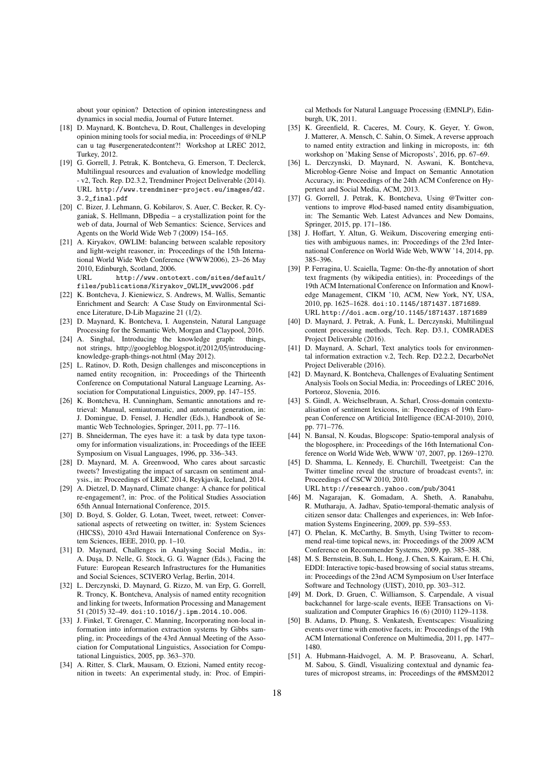about your opinion? Detection of opinion interestingness and dynamics in social media, Journal of Future Internet.

- <span id="page-18-0"></span>[18] D. Maynard, K. Bontcheva, D. Rout, Challenges in developing opinion mining tools for social media, in: Proceedings of @NLP can u tag #usergeneratedcontent?! Workshop at LREC 2012, Turkey, 2012.
- <span id="page-18-1"></span>[19] G. Gorrell, J. Petrak, K. Bontcheva, G. Emerson, T. Declerck, [Multilingual resources and evaluation of knowledge modelling](http://www.trendminer-project.eu/images/d2.3.2_final.pdf) [- v2,](http://www.trendminer-project.eu/images/d2.3.2_final.pdf) Tech. Rep. D2.3.2, Trendminer Project Deliverable (2014). URL [http://www.trendminer-project.eu/images/d2.](http://www.trendminer-project.eu/images/d2.3.2_final.pdf) [3.2\\_final.pdf](http://www.trendminer-project.eu/images/d2.3.2_final.pdf)
- <span id="page-18-2"></span>[20] C. Bizer, J. Lehmann, G. Kobilarov, S. Auer, C. Becker, R. Cyganiak, S. Hellmann, DBpedia – a crystallization point for the web of data, Journal of Web Semantics: Science, Services and Agents on the World Wide Web 7 (2009) 154–165.
- <span id="page-18-3"></span>[21] A. Kiryakov, [OWLIM: balancing between scalable repository](http://www.ontotext.com/sites/default/files/publications/Kiryakov_OWLIM_www2006.pdf) [and light-weight reasoner,](http://www.ontotext.com/sites/default/files/publications/Kiryakov_OWLIM_www2006.pdf) in: Proceedings of the 15th International World Wide Web Conference (WWW2006), 23–26 May 2010, Edinburgh, Scotland, 2006. URL [http://www.ontotext.com/sites/default/](http://www.ontotext.com/sites/default/files/publications/Kiryakov_OWLIM_www2006.pdf)

<span id="page-18-4"></span>[files/publications/Kiryakov\\_OWLIM\\_www2006.pdf](http://www.ontotext.com/sites/default/files/publications/Kiryakov_OWLIM_www2006.pdf) [22] K. Bontcheva, J. Kieniewicz, S. Andrews, M. Wallis, Semantic

- <span id="page-18-5"></span>Enrichment and Search: A Case Study on Environmental Science Literature, D-Lib Magazine 21 (1/2).
- <span id="page-18-6"></span>[23] D. Maynard, K. Bontcheva, I. Augenstein, Natural Language Processing for the Semantic Web, Morgan and Claypool, 2016.
- [24] A. Singhal, Introducing the knowledge graph: things, not strings, http://googleblog.blogspot.it/2012/05/introducingknowledge-graph-things-not.html (May 2012).
- <span id="page-18-7"></span>[25] L. Ratinov, D. Roth, Design challenges and misconceptions in named entity recognition, in: Proceedings of the Thirteenth Conference on Computational Natural Language Learning, Association for Computational Linguistics, 2009, pp. 147–155.
- <span id="page-18-8"></span>[26] K. Bontcheva, H. Cunningham, Semantic annotations and retrieval: Manual, semiautomatic, and automatic generation, in: J. Domingue, D. Fensel, J. Hendler (Eds.), Handbook of Semantic Web Technologies, Springer, 2011, pp. 77–116.
- <span id="page-18-9"></span>[27] B. Shneiderman, The eyes have it: a task by data type taxonomy for information visualizations, in: Proceedings of the IEEE Symposium on Visual Languages, 1996, pp. 336–343.
- <span id="page-18-10"></span>[28] D. Maynard, M. A. Greenwood, Who cares about sarcastic tweets? Investigating the impact of sarcasm on sentiment analysis., in: Proceedings of LREC 2014, Reykjavik, Iceland, 2014.
- [29] A. Dietzel, D. Maynard, Climate change: A chance for political re-engagement?, in: Proc. of the Political Studies Association 65th Annual International Conference, 2015.
- [30] D. Boyd, S. Golder, G. Lotan, Tweet, tweet, retweet: Conversational aspects of retweeting on twitter, in: System Sciences (HICSS), 2010 43rd Hawaii International Conference on System Sciences, IEEE, 2010, pp. 1–10.
- [31] D. Maynard, Challenges in Analysing Social Media., in: A. Dusa, D. Nelle, G. Stock, G. G. Wagner (Eds.), Facing the Future: European Research Infrastructures for the Humanities and Social Sciences, SCIVERO Verlag, Berlin, 2014.
- [32] L. Derczynski, D. Maynard, G. Rizzo, M. van Erp, G. Gorrell, R. Troncy, K. Bontcheva, Analysis of named entity recognition and linking for tweets, Information Processing and Management 51 (2015) 32–49. [doi:10.1016/j.ipm.2014.10.006](http://dx.doi.org/10.1016/j.ipm.2014.10.006).
- [33] J. Finkel, T. Grenager, C. Manning, Incorporating non-local information into information extraction systems by Gibbs sampling, in: Proceedings of the 43rd Annual Meeting of the Association for Computational Linguistics, Association for Computational Linguistics, 2005, pp. 363–370.
- [34] A. Ritter, S. Clark, Mausam, O. Etzioni, Named entity recognition in tweets: An experimental study, in: Proc. of Empiri-

cal Methods for Natural Language Processing (EMNLP), Edinburgh, UK, 2011.

- [35] K. Greenfield, R. Caceres, M. Coury, K. Geyer, Y. Gwon, J. Matterer, A. Mensch, C. Sahin, O. Simek, A reverse approach to named entity extraction and linking in microposts, in: 6th workshop on 'Making Sense of Microposts', 2016, pp. 67–69.
- [36] L. Derczynski, D. Maynard, N. Aswani, K. Bontcheva, Microblog-Genre Noise and Impact on Semantic Annotation Accuracy, in: Proceedings of the 24th ACM Conference on Hypertext and Social Media, ACM, 2013.
- [37] G. Gorrell, J. Petrak, K. Bontcheva, Using @Twitter conventions to improve #lod-based named entity disambiguation, in: The Semantic Web. Latest Advances and New Domains, Springer, 2015, pp. 171–186.
- [38] J. Hoffart, Y. Altun, G. Weikum, Discovering emerging entities with ambiguous names, in: Proceedings of the 23rd International Conference on World Wide Web, WWW '14, 2014, pp. 385–396.
- [39] P. Ferragina, U. Scaiella, [Tagme: On-the-fly annotation of short](http://doi.acm.org/10.1145/1871437.1871689) [text fragments \(by wikipedia entities\),](http://doi.acm.org/10.1145/1871437.1871689) in: Proceedings of the 19th ACM International Conference on Information and Knowledge Management, CIKM '10, ACM, New York, NY, USA, 2010, pp. 1625–1628. [doi:10.1145/1871437.1871689](http://dx.doi.org/10.1145/1871437.1871689). URL <http://doi.acm.org/10.1145/1871437.1871689>
- [40] D. Maynard, J. Petrak, A. Funk, L. Derczynski, Multilingual content processing methods, Tech. Rep. D3.1, COMRADES Project Deliverable (2016).
- [41] D. Maynard, A. Scharl, Text analytics tools for environmental information extraction v.2, Tech. Rep. D2.2.2, DecarboNet Project Deliverable (2016).
- [42] D. Maynard, K. Bontcheva, Challenges of Evaluating Sentiment Analysis Tools on Social Media, in: Proceedings of LREC 2016, Portoroz, Slovenia, 2016.
- [43] S. Gindl, A. Weichselbraun, A. Scharl, Cross-domain contextualisation of sentiment lexicons, in: Proceedings of 19th European Conference on Artificial Intelligence (ECAI-2010), 2010, pp. 771–776.
- [44] N. Bansal, N. Koudas, Blogscope: Spatio-temporal analysis of the blogosphere, in: Proceedings of the 16th International Conference on World Wide Web, WWW '07, 2007, pp. 1269–1270.
- [45] D. Shamma, L. Kennedy, E. Churchill, [Tweetgeist: Can the](http://research.yahoo.com/pub/3041) [Twitter timeline reveal the structure of broadcast events?,](http://research.yahoo.com/pub/3041) in: Proceedings of CSCW 2010, 2010.

URL <http://research.yahoo.com/pub/3041>

- [46] M. Nagarajan, K. Gomadam, A. Sheth, A. Ranabahu, R. Mutharaju, A. Jadhav, Spatio-temporal-thematic analysis of citizen sensor data: Challenges and experiences, in: Web Information Systems Engineering, 2009, pp. 539–553.
- [47] O. Phelan, K. McCarthy, B. Smyth, Using Twitter to recommend real-time topical news, in: Proceedings of the 2009 ACM Conference on Recommender Systems, 2009, pp. 385–388.
- [48] M. S. Bernstein, B. Suh, L. Hong, J. Chen, S. Kairam, E. H. Chi, EDDI: Interactive topic-based browsing of social status streams, in: Proceedings of the 23nd ACM Symposium on User Interface Software and Technology (UIST), 2010, pp. 303–312.
- [49] M. Dork, D. Gruen, C. Williamson, S. Carpendale, A visual backchannel for large-scale events, IEEE Transactions on Visualization and Computer Graphics 16 (6) (2010) 1129–1138.
- [50] B. Adams, D. Phung, S. Venkatesh, Eventscapes: Visualizing events over time with emotive facets, in: Proceedings of the 19th ACM International Conference on Multimedia, 2011, pp. 1477– 1480.
- [51] A. Hubmann-Haidvogel, A. M. P. Brasoveanu, A. Scharl, M. Sabou, S. Gindl, Visualizing contextual and dynamic features of micropost streams, in: Proceedings of the #MSM2012